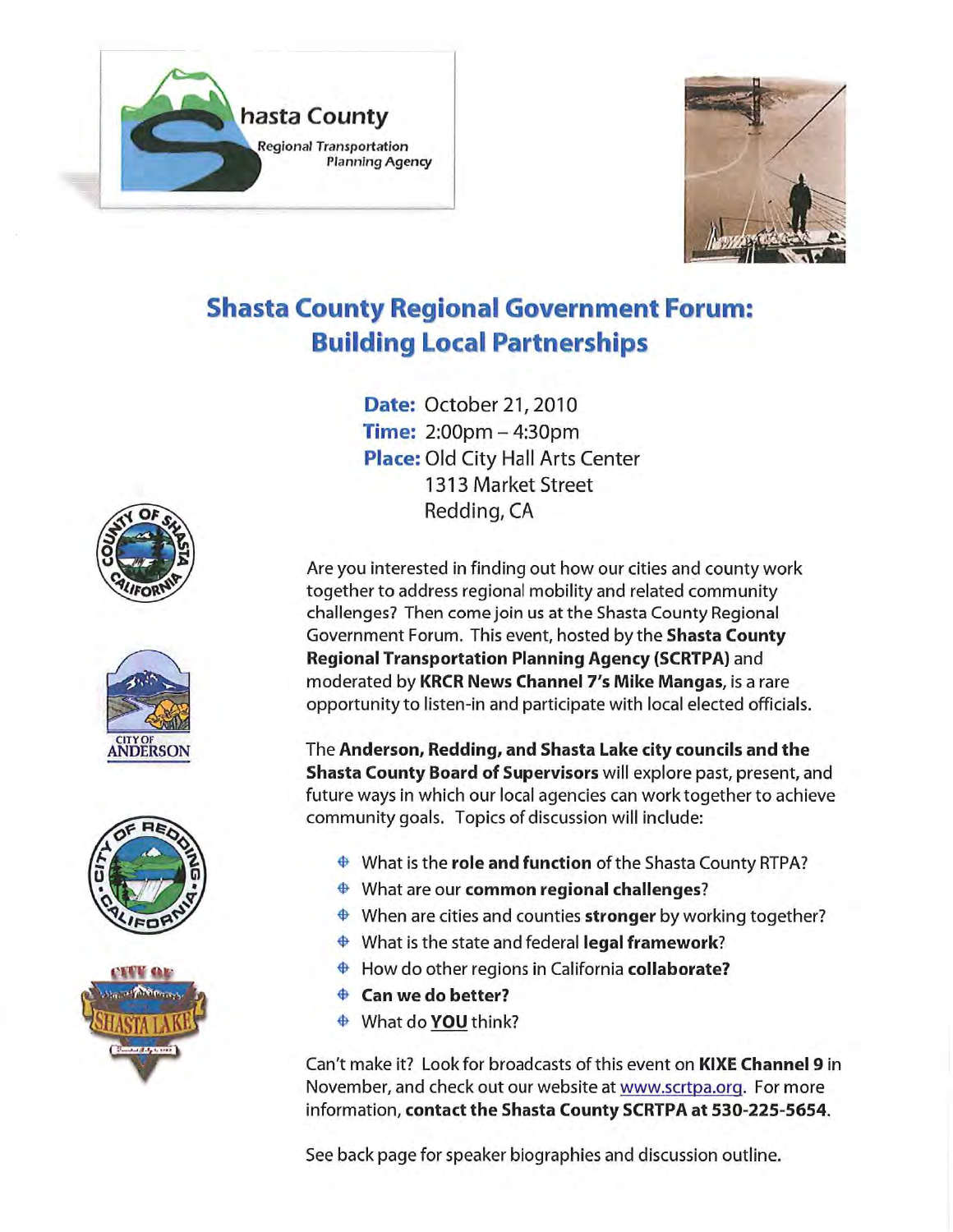



# **Shasta County Regional Government Forum: Building Local Partnerships**

**Date: October 21, 2010 Time: 2:00pm**  $-4:30$ **pm Place: Old City Hall Arts Center** 1313 Market Street Redding, CA

Are you interested in finding out how our cities and county work together to address regional mobility and related community challenges? Then come join us at the Shasta County Regional Government Forum. This event, hosted by the Shasta County **Regional Transportation Planning Agency (SCRTPA)** and moderated by KRCR News Channel 7's Mike Mangas, is a rare opportunity to listen-in and participate with local elected officials.

The Anderson, Redding, and Shasta Lake city councils and the Shasta County Board of Supervisors will explore past, present, and future ways in which our local agencies can work together to achieve community goals. Topics of discussion will include:

- $\triangleq$  What is the role and function of the Shasta County RTPA?
- $\triangleq$  What are our common regional challenges?
- $\triangleq$  When are cities and counties stronger by working together?
- $\triangleq$  What is the state and federal legal framework?
- How do other regions in California collaborate?
- $\triangle$  Can we do better?
- What do YOU think?

Can't make it? Look for broadcasts of this event on **KIXE Channel 9** in November, and check out our website at www.scrtpa.org. For more information, contact the Shasta County SCRTPA at 530-225-5654.

See back page for speaker biographies and discussion outline.







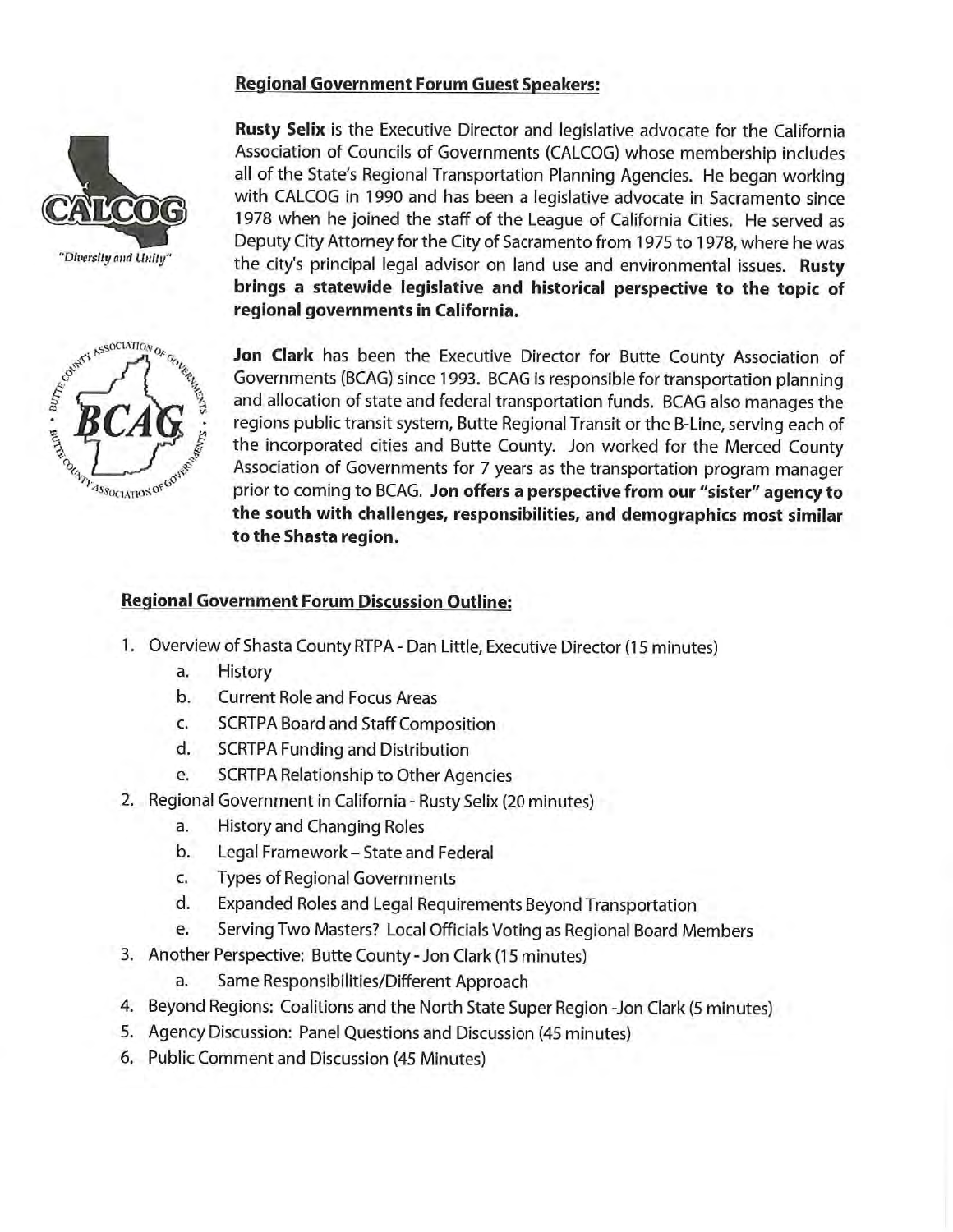# **Regional Government Forum Guest Speakers:**





Rusty Selix is the Executive Director and legislative advocate for the California Association of Councils of Governments (CALCOG) whose membership includes all of the State's Regional Transportation Planning Agencies. He began working with CALCOG in 1990 and has been a legislative advocate in Sacramento since 1978 when he joined the staff of the League of California Cities. He served as Deputy City Attorney for the City of Sacramento from 1975 to 1978, where he was the city's principal legal advisor on land use and environmental issues. Rusty brings a statewide legislative and historical perspective to the topic of regional governments in California.

Jon Clark has been the Executive Director for Butte County Association of Governments (BCAG) since 1993. BCAG is responsible for transportation planning and allocation of state and federal transportation funds. BCAG also manages the regions public transit system, Butte Regional Transit or the B-Line, serving each of the incorporated cities and Butte County. Jon worked for the Merced County Association of Governments for 7 years as the transportation program manager prior to coming to BCAG. Jon offers a perspective from our "sister" agency to the south with challenges, responsibilities, and demographics most similar to the Shasta region.

# **Regional Government Forum Discussion Outline:**

- 1. Overview of Shasta County RTPA Dan Little, Executive Director (15 minutes)
	- History a.
	- $b.$ **Current Role and Focus Areas**
	- c. **SCRTPA Board and Staff Composition**
	- d. **SCRTPA Funding and Distribution**
	- e. **SCRTPA Relationship to Other Agencies**
- 2. Regional Government in California Rusty Selix (20 minutes)
	- History and Changing Roles a.
	- $\mathbf{b}$ . Legal Framework - State and Federal
	- **Types of Regional Governments** C.
	- Expanded Roles and Legal Requirements Beyond Transportation d.
	- Serving Two Masters? Local Officials Voting as Regional Board Members e.
- 3. Another Perspective: Butte County Jon Clark (15 minutes)
	- Same Responsibilities/Different Approach a.
- 4. Beyond Regions: Coalitions and the North State Super Region -Jon Clark (5 minutes)
- 5. Agency Discussion: Panel Questions and Discussion (45 minutes)
- 6. Public Comment and Discussion (45 Minutes)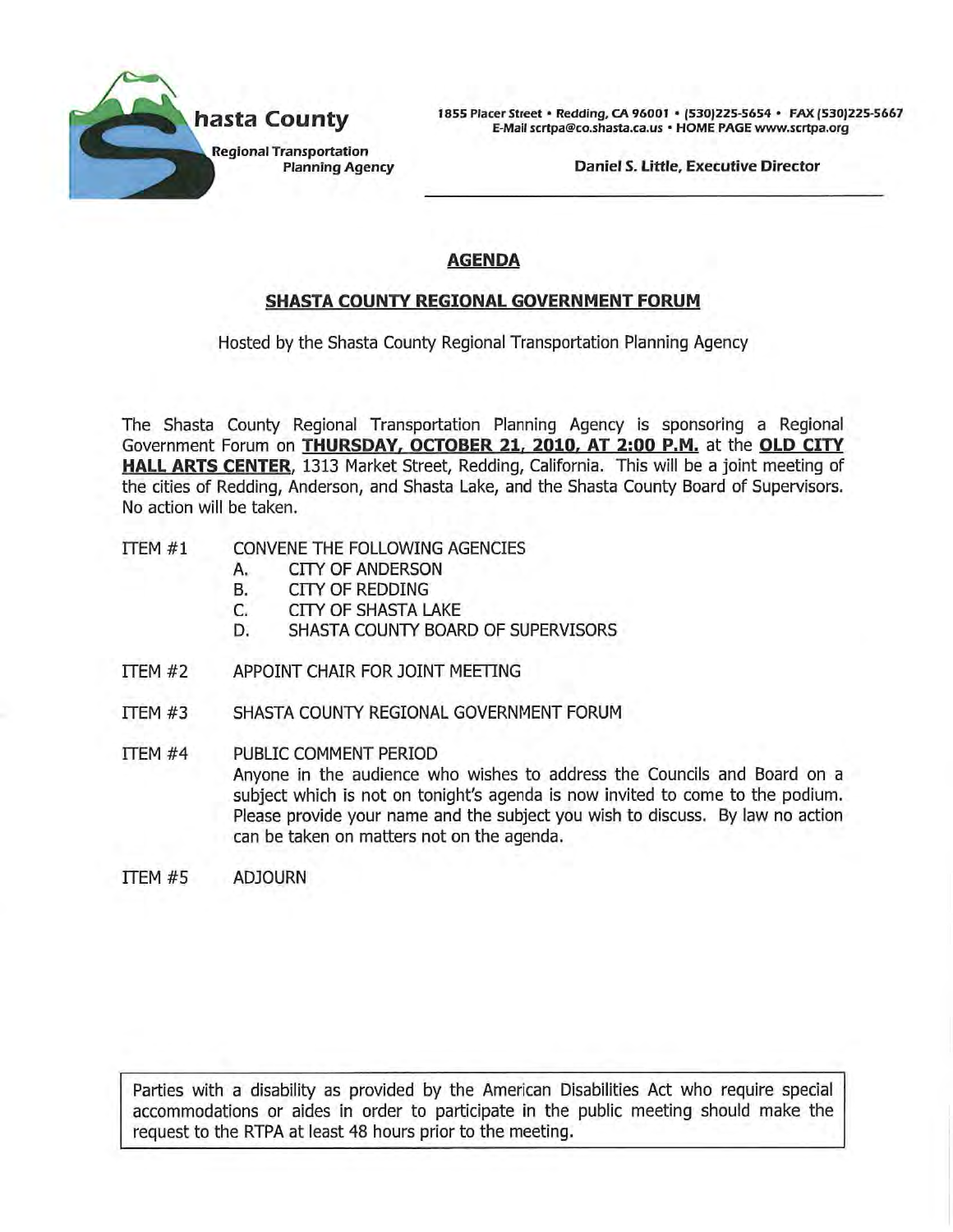

1855 Placer Street · Redding, CA 96001 · (530)225-5654 · FAX (530)225-5667 E-Mail scrtpa@co.shasta.ca.us · HOME PAGE www.scrtpa.org

Daniel S. Little, Executive Director

# **AGENDA**

# **SHASTA COUNTY REGIONAL GOVERNMENT FORUM**

Hosted by the Shasta County Regional Transportation Planning Agency

The Shasta County Regional Transportation Planning Agency is sponsoring a Regional Government Forum on THURSDAY, OCTOBER 21, 2010, AT 2:00 P.M. at the OLD CITY HALL ARTS CENTER, 1313 Market Street, Redding, California. This will be a joint meeting of the cities of Redding, Anderson, and Shasta Lake, and the Shasta County Board of Supervisors. No action will be taken.

- ITEM #1 CONVENE THE FOLLOWING AGENCIES
	- **CITY OF ANDERSON** A.
	- **B. CITY OF REDDING**
	- C. **CITY OF SHASTA LAKE**
	- D. SHASTA COUNTY BOARD OF SUPERVISORS
- $TFM#2$ APPOINT CHAIR FOR JOINT MEETING
- ITEM #3 SHASTA COUNTY REGIONAL GOVERNMENT FORUM
- ITEM #4 PUBLIC COMMENT PERIOD Anyone in the audience who wishes to address the Councils and Board on a subject which is not on tonight's agenda is now invited to come to the podium. Please provide your name and the subject you wish to discuss. By law no action can be taken on matters not on the agenda.
- ITEM #5 **ADJOURN**

Parties with a disability as provided by the American Disabilities Act who require special accommodations or aides in order to participate in the public meeting should make the request to the RTPA at least 48 hours prior to the meeting.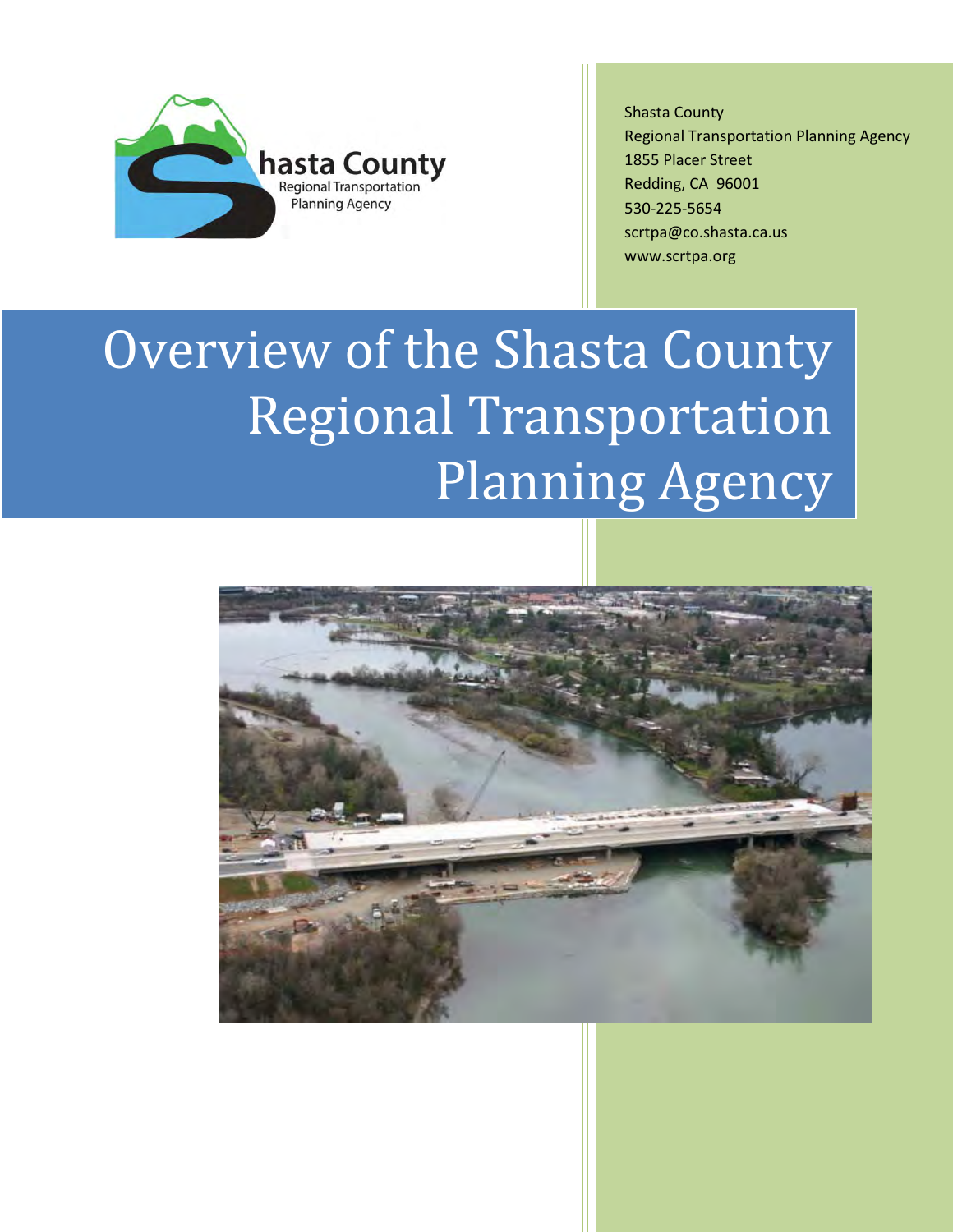

Shasta County Regional Transportation Planning Agency 1855 Placer Street Redding, CA 96001 530-225-5654 scrtpa@co.shasta.ca.us www.scrtpa.org

# Overview of the Shasta County Regional Transportation Planning Agency

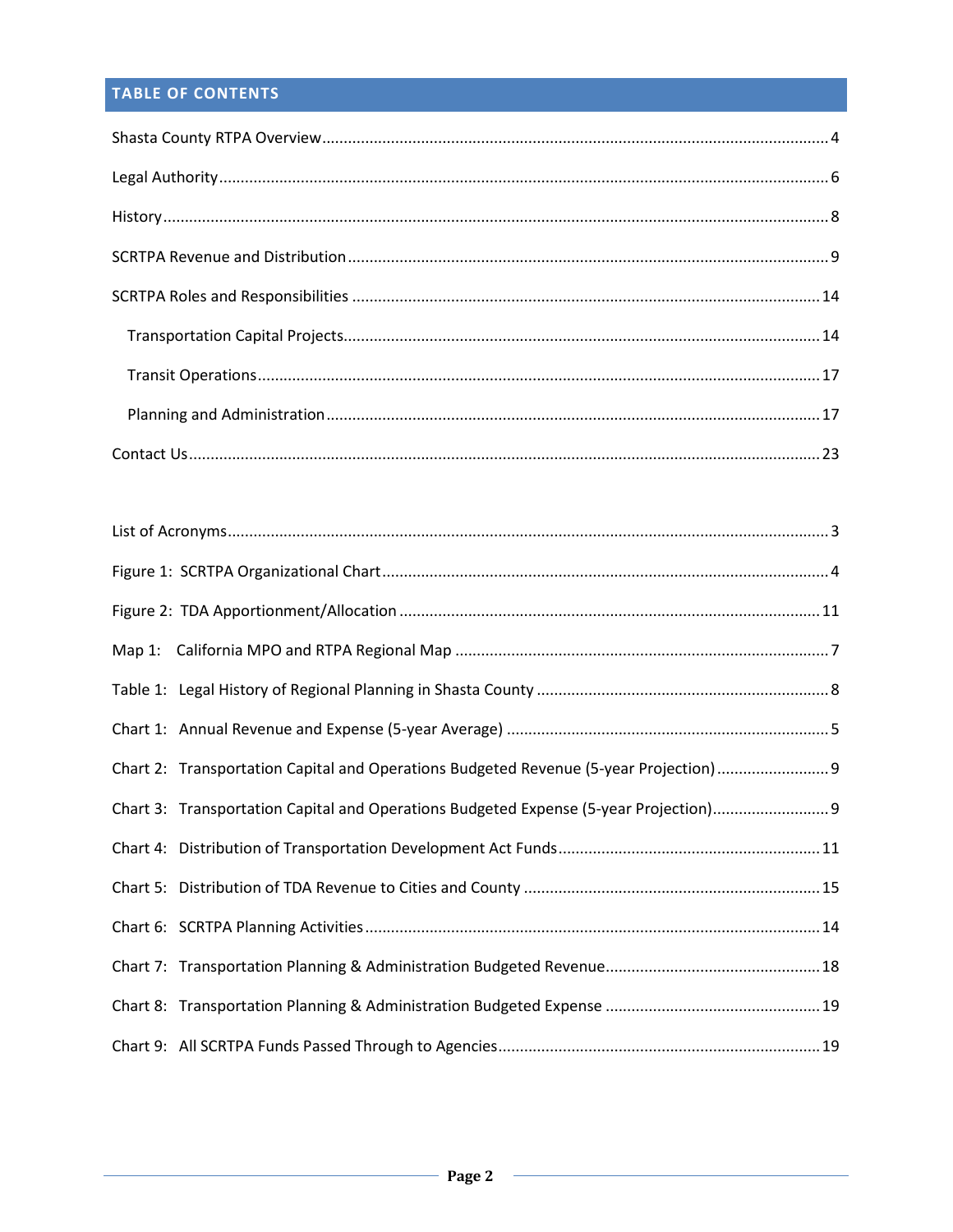# TABLE OF CONTENTS

| Chart 2: Transportation Capital and Operations Budgeted Revenue (5-year Projection)9  |
|---------------------------------------------------------------------------------------|
| Chart 3: Transportation Capital and Operations Budgeted Expense (5-year Projection) 9 |
|                                                                                       |
|                                                                                       |
|                                                                                       |
|                                                                                       |
|                                                                                       |
|                                                                                       |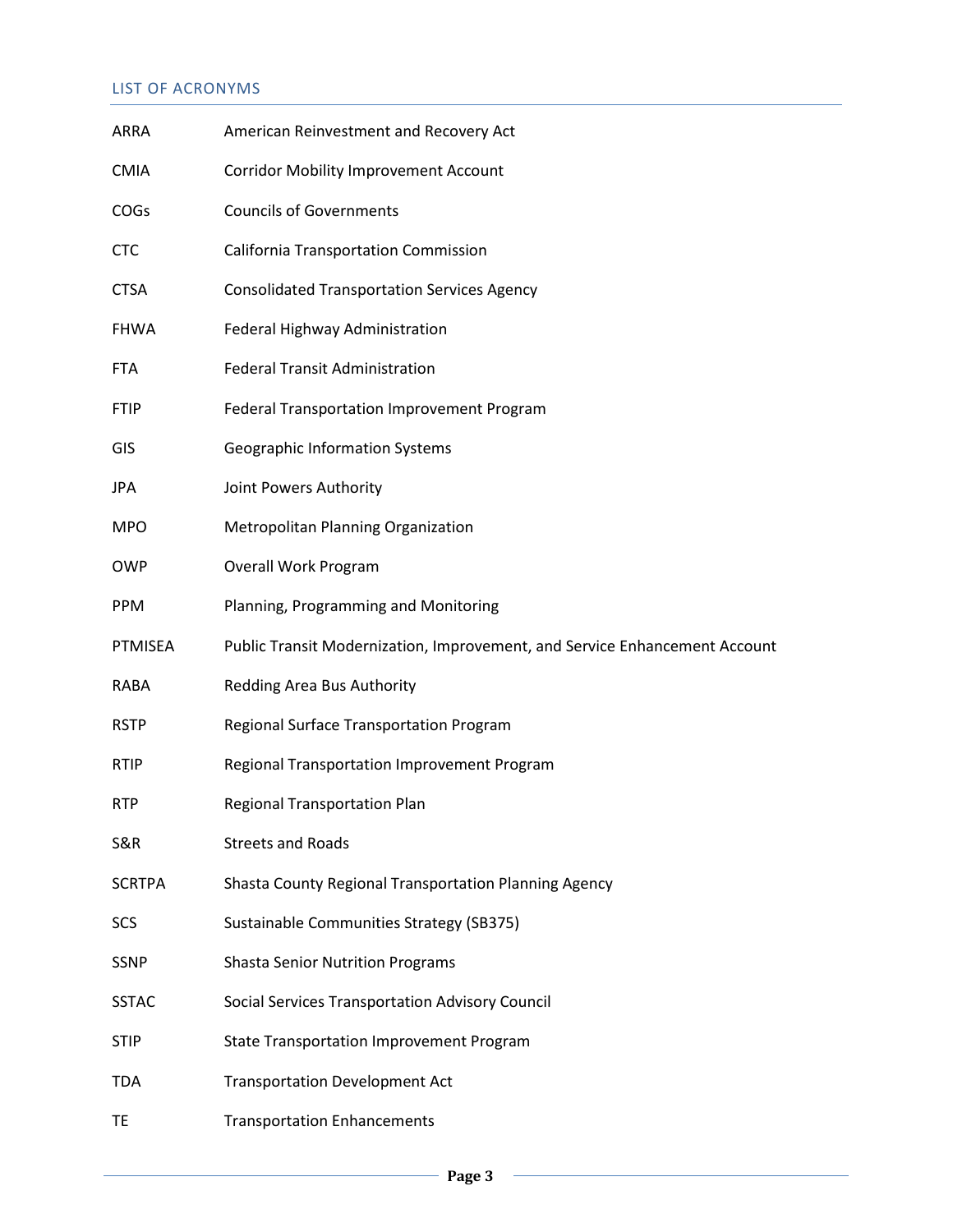# LIST OF ACRONYMS

| ARRA          | American Reinvestment and Recovery Act                                     |  |  |
|---------------|----------------------------------------------------------------------------|--|--|
| <b>CMIA</b>   | <b>Corridor Mobility Improvement Account</b>                               |  |  |
| <b>COGS</b>   | <b>Councils of Governments</b>                                             |  |  |
| <b>CTC</b>    | <b>California Transportation Commission</b>                                |  |  |
| <b>CTSA</b>   | <b>Consolidated Transportation Services Agency</b>                         |  |  |
| <b>FHWA</b>   | Federal Highway Administration                                             |  |  |
| <b>FTA</b>    | <b>Federal Transit Administration</b>                                      |  |  |
| <b>FTIP</b>   | Federal Transportation Improvement Program                                 |  |  |
| GIS           | <b>Geographic Information Systems</b>                                      |  |  |
| JPA           | Joint Powers Authority                                                     |  |  |
| <b>MPO</b>    | Metropolitan Planning Organization                                         |  |  |
| <b>OWP</b>    | <b>Overall Work Program</b>                                                |  |  |
| <b>PPM</b>    | Planning, Programming and Monitoring                                       |  |  |
|               |                                                                            |  |  |
| PTMISEA       | Public Transit Modernization, Improvement, and Service Enhancement Account |  |  |
| RABA          | Redding Area Bus Authority                                                 |  |  |
| <b>RSTP</b>   | Regional Surface Transportation Program                                    |  |  |
| <b>RTIP</b>   | Regional Transportation Improvement Program                                |  |  |
| <b>RTP</b>    | <b>Regional Transportation Plan</b>                                        |  |  |
| S&R           | <b>Streets and Roads</b>                                                   |  |  |
| <b>SCRTPA</b> | Shasta County Regional Transportation Planning Agency                      |  |  |
| <b>SCS</b>    | Sustainable Communities Strategy (SB375)                                   |  |  |
| <b>SSNP</b>   | <b>Shasta Senior Nutrition Programs</b>                                    |  |  |
| <b>SSTAC</b>  | Social Services Transportation Advisory Council                            |  |  |
| <b>STIP</b>   | <b>State Transportation Improvement Program</b>                            |  |  |
| TDA           | <b>Transportation Development Act</b>                                      |  |  |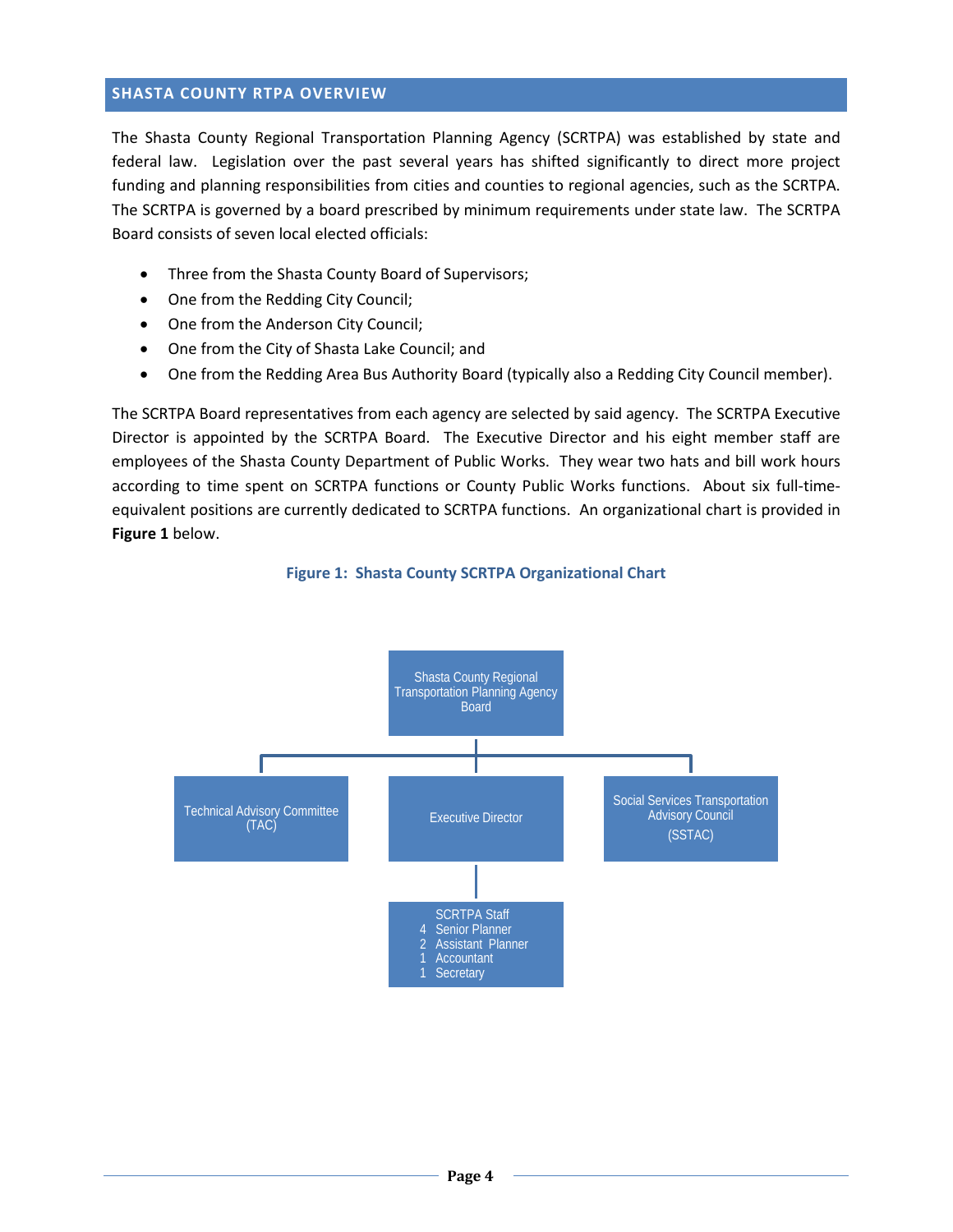# <span id="page-6-0"></span>**SHASTA COUNTY RTPA OVERVIEW**

The Shasta County Regional Transportation Planning Agency (SCRTPA) was established by state and federal law. Legislation over the past several years has shifted significantly to direct more project funding and planning responsibilities from cities and counties to regional agencies, such as the SCRTPA. The SCRTPA is governed by a board prescribed by minimum requirements under state law. The SCRTPA Board consists of seven local elected officials:

- Three from the Shasta County Board of Supervisors;
- One from the Redding City Council;
- One from the Anderson City Council;
- One from the City of Shasta Lake Council; and
- One from the Redding Area Bus Authority Board (typically also a Redding City Council member).

The SCRTPA Board representatives from each agency are selected by said agency. The SCRTPA Executive Director is appointed by the SCRTPA Board. The Executive Director and his eight member staff are employees of the Shasta County Department of Public Works. They wear two hats and bill work hours according to time spent on SCRTPA functions or County Public Works functions. About six full-timeequivalent positions are currently dedicated to SCRTPA functions. An organizational chart is provided in **Figure 1** below.

<span id="page-6-1"></span>

#### **Figure 1: Shasta County SCRTPA Organizational Chart**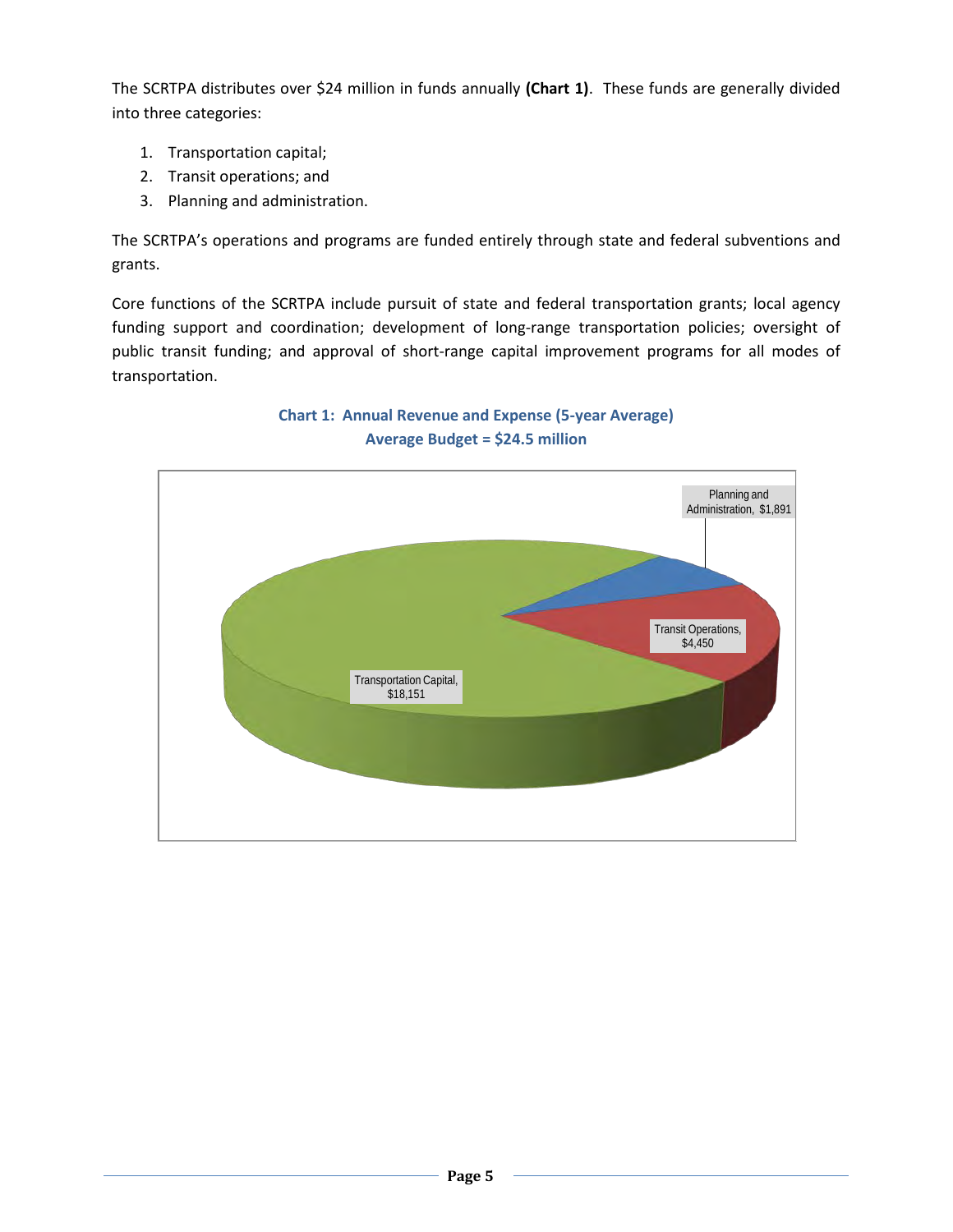The SCRTPA distributes over \$24 million in funds annually **(Chart 1)**. These funds are generally divided into three categories:

- 1. Transportation capital;
- 2. Transit operations; and
- 3. Planning and administration.

The SCRTPA's operations and programs are funded entirely through state and federal subventions and grants.

Core functions of the SCRTPA include pursuit of state and federal transportation grants; local agency funding support and coordination; development of long-range transportation policies; oversight of public transit funding; and approval of short-range capital improvement programs for all modes of transportation.



**Chart 1: Annual Revenue and Expense (5-year Average) Average Budget = \$24.5 million**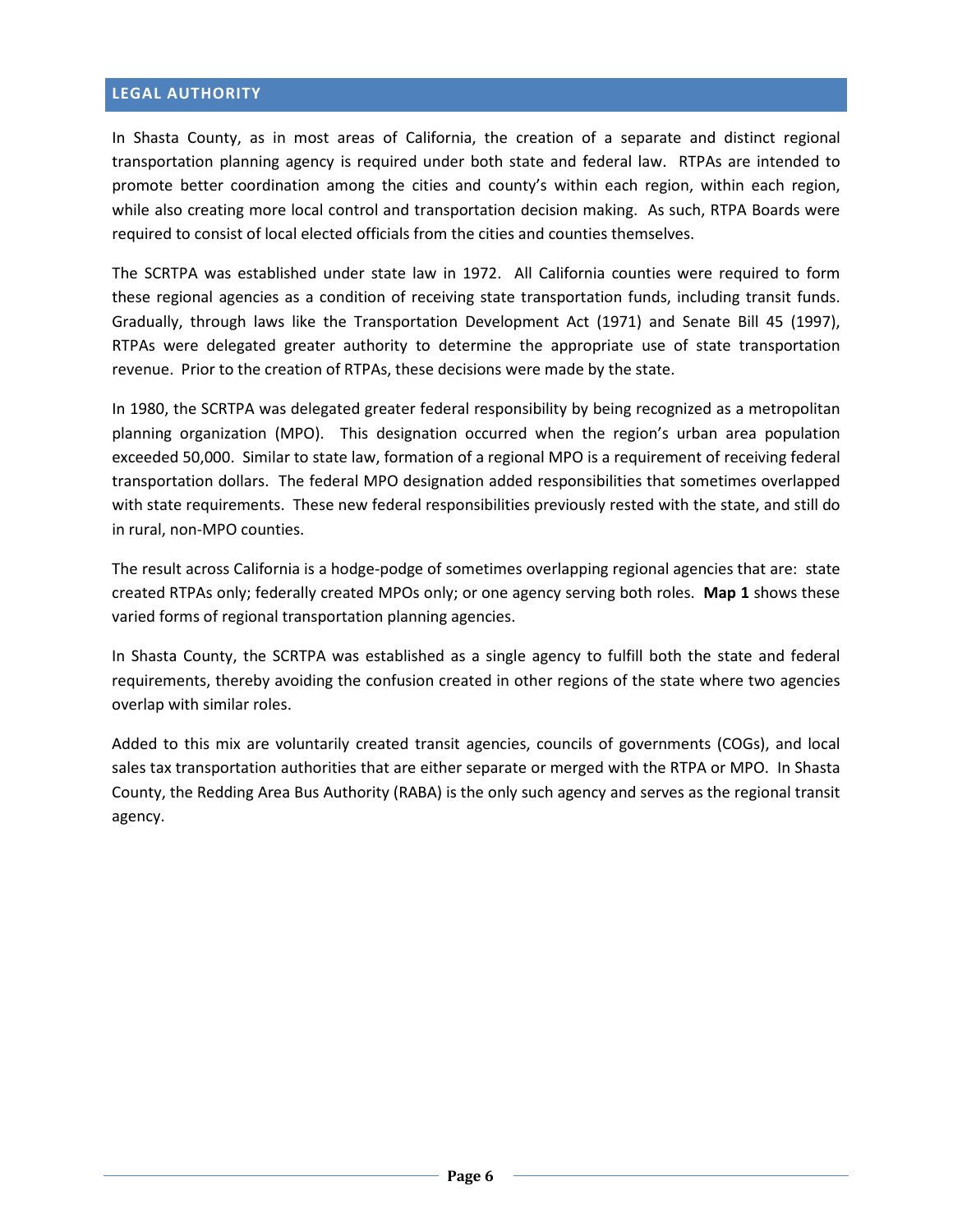# <span id="page-8-0"></span>**LEGAL AUTHORITY**

In Shasta County, as in most areas of California, the creation of a separate and distinct regional transportation planning agency is required under both state and federal law. RTPAs are intended to promote better coordination among the cities and county's within each region, within each region, while also creating more local control and transportation decision making. As such, RTPA Boards were required to consist of local elected officials from the cities and counties themselves.

The SCRTPA was established under state law in 1972. All California counties were required to form these regional agencies as a condition of receiving state transportation funds, including transit funds. Gradually, through laws like the Transportation Development Act (1971) and Senate Bill 45 (1997), RTPAs were delegated greater authority to determine the appropriate use of state transportation revenue. Prior to the creation of RTPAs, these decisions were made by the state.

In 1980, the SCRTPA was delegated greater federal responsibility by being recognized as a metropolitan planning organization (MPO). This designation occurred when the region's urban area population exceeded 50,000. Similar to state law, formation of a regional MPO is a requirement of receiving federal transportation dollars. The federal MPO designation added responsibilities that sometimes overlapped with state requirements. These new federal responsibilities previously rested with the state, and still do in rural, non-MPO counties.

The result across California is a hodge-podge of sometimes overlapping regional agencies that are: state created RTPAs only; federally created MPOs only; or one agency serving both roles. **Map 1** shows these varied forms of regional transportation planning agencies.

In Shasta County, the SCRTPA was established as a single agency to fulfill both the state and federal requirements, thereby avoiding the confusion created in other regions of the state where two agencies overlap with similar roles.

Added to this mix are voluntarily created transit agencies, councils of governments (COGs), and local sales tax transportation authorities that are either separate or merged with the RTPA or MPO. In Shasta County, the Redding Area Bus Authority (RABA) is the only such agency and serves as the regional transit agency.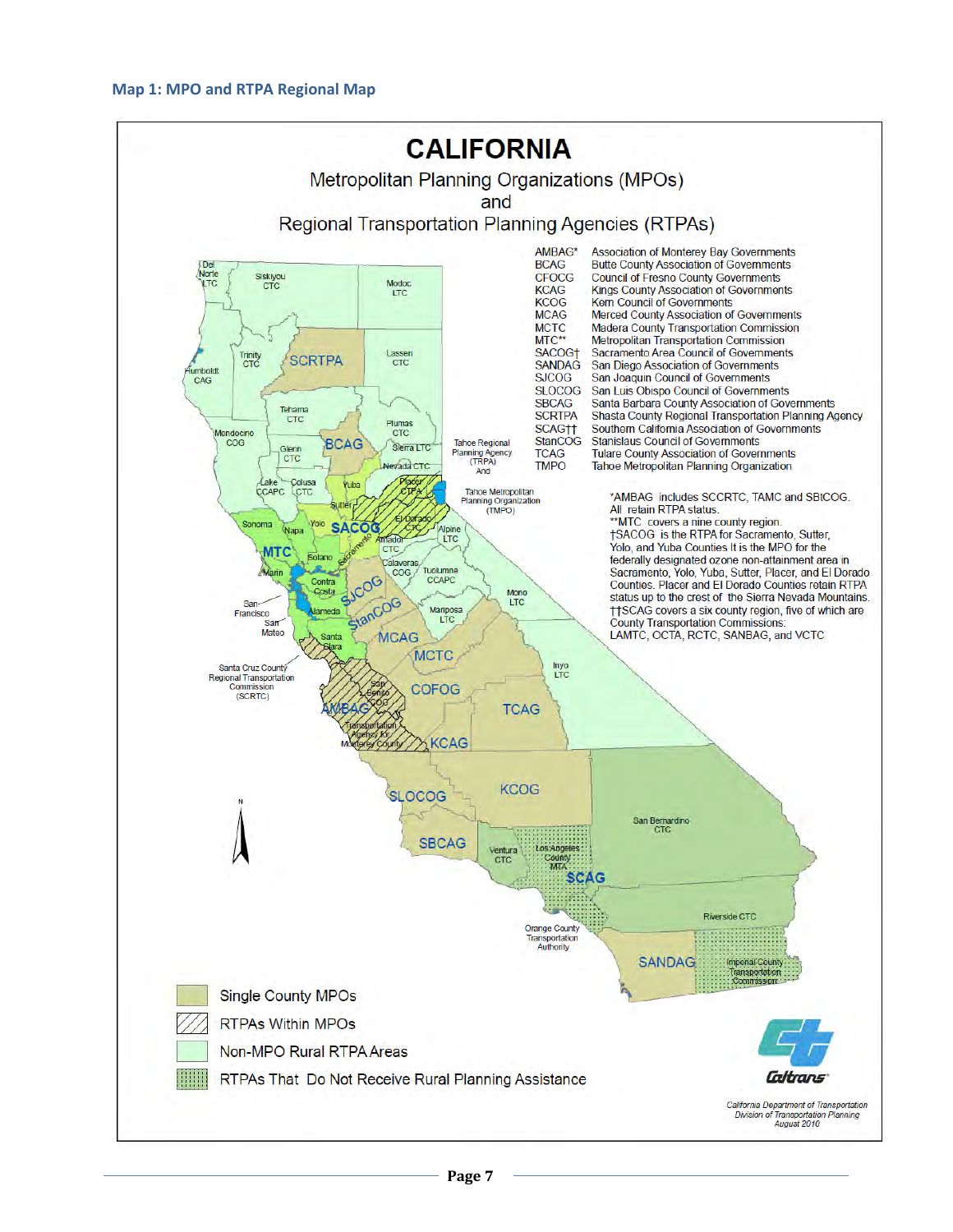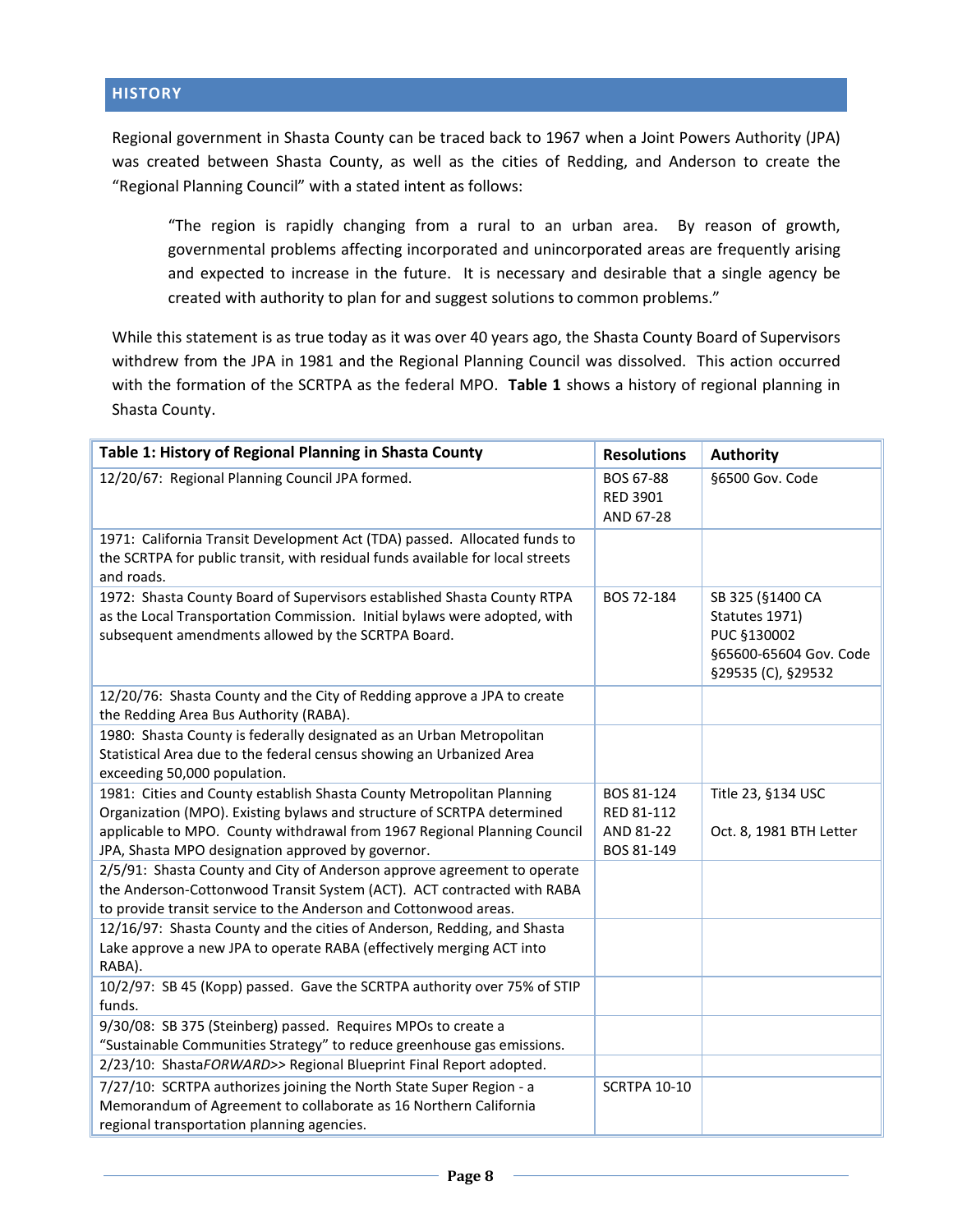<span id="page-10-0"></span>Regional government in Shasta County can be traced back to 1967 when a Joint Powers Authority (JPA) was created between Shasta County, as well as the cities of Redding, and Anderson to create the "Regional Planning Council" with a stated intent as follows:

"The region is rapidly changing from a rural to an urban area. By reason of growth, governmental problems affecting incorporated and unincorporated areas are frequently arising and expected to increase in the future. It is necessary and desirable that a single agency be created with authority to plan for and suggest solutions to common problems."

While this statement is as true today as it was over 40 years ago, the Shasta County Board of Supervisors withdrew from the JPA in 1981 and the Regional Planning Council was dissolved. This action occurred with the formation of the SCRTPA as the federal MPO. **Table 1** shows a history of regional planning in Shasta County.

| Table 1: History of Regional Planning in Shasta County                                                                                                                                                                | <b>Resolutions</b>                        | <b>Authority</b>                                                                                  |
|-----------------------------------------------------------------------------------------------------------------------------------------------------------------------------------------------------------------------|-------------------------------------------|---------------------------------------------------------------------------------------------------|
| 12/20/67: Regional Planning Council JPA formed.                                                                                                                                                                       | BOS 67-88<br><b>RED 3901</b><br>AND 67-28 | §6500 Gov. Code                                                                                   |
| 1971: California Transit Development Act (TDA) passed. Allocated funds to<br>the SCRTPA for public transit, with residual funds available for local streets<br>and roads.                                             |                                           |                                                                                                   |
| 1972: Shasta County Board of Supervisors established Shasta County RTPA<br>as the Local Transportation Commission. Initial bylaws were adopted, with<br>subsequent amendments allowed by the SCRTPA Board.            | BOS 72-184                                | SB 325 (§1400 CA<br>Statutes 1971)<br>PUC §130002<br>§65600-65604 Gov. Code<br>§29535 (C), §29532 |
| 12/20/76: Shasta County and the City of Redding approve a JPA to create<br>the Redding Area Bus Authority (RABA).                                                                                                     |                                           |                                                                                                   |
| 1980: Shasta County is federally designated as an Urban Metropolitan<br>Statistical Area due to the federal census showing an Urbanized Area<br>exceeding 50,000 population.                                          |                                           |                                                                                                   |
| 1981: Cities and County establish Shasta County Metropolitan Planning<br>Organization (MPO). Existing bylaws and structure of SCRTPA determined                                                                       | BOS 81-124<br>RED 81-112                  | Title 23, §134 USC                                                                                |
| applicable to MPO. County withdrawal from 1967 Regional Planning Council<br>JPA, Shasta MPO designation approved by governor.                                                                                         | AND 81-22<br>BOS 81-149                   | Oct. 8, 1981 BTH Letter                                                                           |
| 2/5/91: Shasta County and City of Anderson approve agreement to operate<br>the Anderson-Cottonwood Transit System (ACT). ACT contracted with RABA<br>to provide transit service to the Anderson and Cottonwood areas. |                                           |                                                                                                   |
| 12/16/97: Shasta County and the cities of Anderson, Redding, and Shasta<br>Lake approve a new JPA to operate RABA (effectively merging ACT into<br>RABA).                                                             |                                           |                                                                                                   |
| 10/2/97: SB 45 (Kopp) passed. Gave the SCRTPA authority over 75% of STIP<br>funds.                                                                                                                                    |                                           |                                                                                                   |
| 9/30/08: SB 375 (Steinberg) passed. Requires MPOs to create a<br>"Sustainable Communities Strategy" to reduce greenhouse gas emissions.                                                                               |                                           |                                                                                                   |
| 2/23/10: ShastaFORWARD>> Regional Blueprint Final Report adopted.                                                                                                                                                     |                                           |                                                                                                   |
| 7/27/10: SCRTPA authorizes joining the North State Super Region - a<br>Memorandum of Agreement to collaborate as 16 Northern California<br>regional transportation planning agencies.                                 | <b>SCRTPA 10-10</b>                       |                                                                                                   |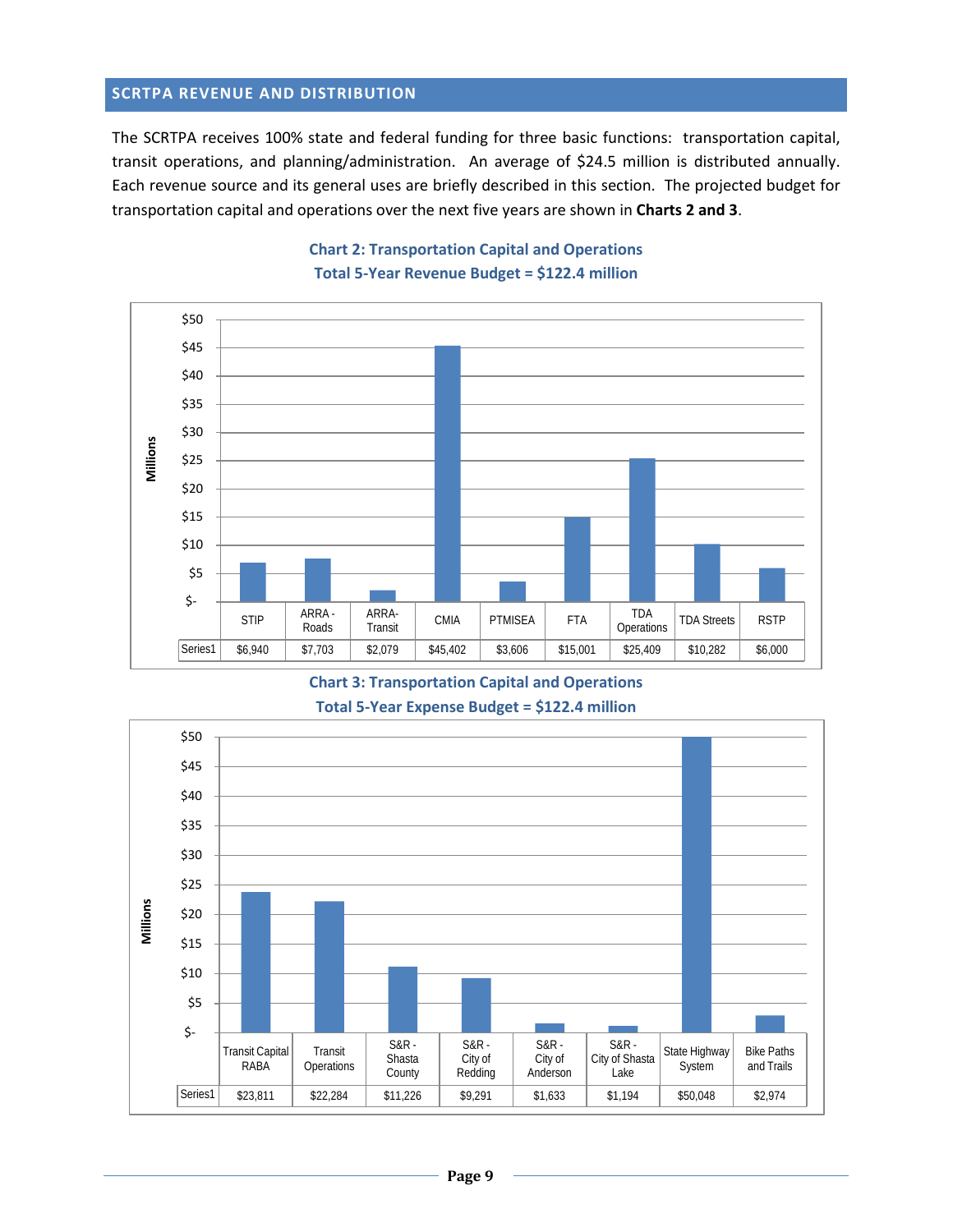#### <span id="page-11-0"></span>**SCRTPA REVENUE AND DISTRIBUTION**

The SCRTPA receives 100% state and federal funding for three basic functions: transportation capital, transit operations, and planning/administration. An average of \$24.5 million is distributed annually. Each revenue source and its general uses are briefly described in this section. The projected budget for transportation capital and operations over the next five years are shown in **Charts 2 and 3**.

<span id="page-11-2"></span><span id="page-11-1"></span>

# **Chart 2: Transportation Capital and Operations Total 5-Year Revenue Budget = \$122.4 million**

**Chart 3: Transportation Capital and Operations Total 5-Year Expense Budget = \$122.4 million**

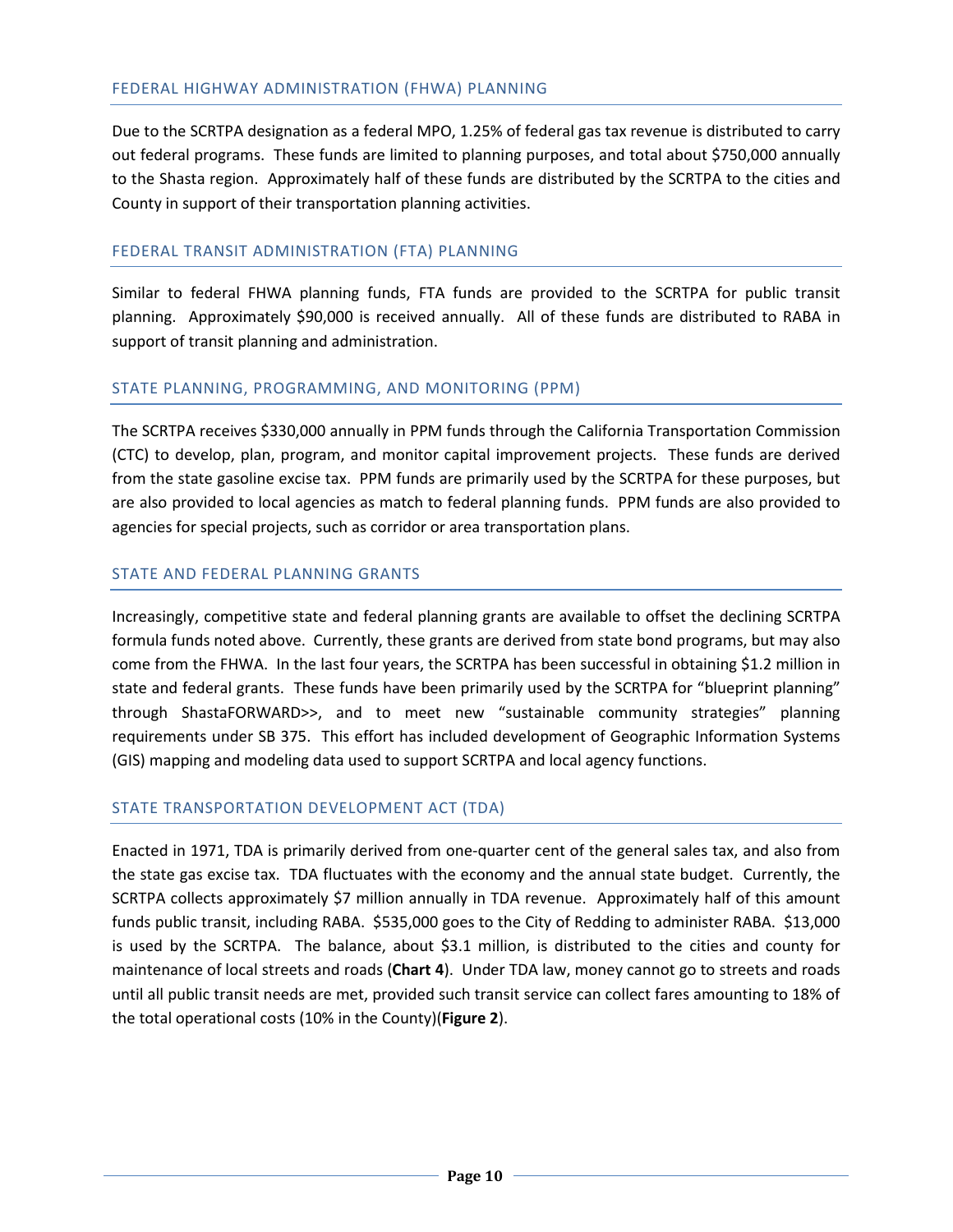Due to the SCRTPA designation as a federal MPO, 1.25% of federal gas tax revenue is distributed to carry out federal programs. These funds are limited to planning purposes, and total about \$750,000 annually to the Shasta region. Approximately half of these funds are distributed by the SCRTPA to the cities and County in support of their transportation planning activities.

# FEDERAL TRANSIT ADMINISTRATION (FTA) PLANNING

Similar to federal FHWA planning funds, FTA funds are provided to the SCRTPA for public transit planning. Approximately \$90,000 is received annually. All of these funds are distributed to RABA in support of transit planning and administration.

#### STATE PLANNING, PROGRAMMING, AND MONITORING (PPM)

The SCRTPA receives \$330,000 annually in PPM funds through the California Transportation Commission (CTC) to develop, plan, program, and monitor capital improvement projects. These funds are derived from the state gasoline excise tax. PPM funds are primarily used by the SCRTPA for these purposes, but are also provided to local agencies as match to federal planning funds. PPM funds are also provided to agencies for special projects, such as corridor or area transportation plans.

#### STATE AND FEDERAL PLANNING GRANTS

Increasingly, competitive state and federal planning grants are available to offset the declining SCRTPA formula funds noted above. Currently, these grants are derived from state bond programs, but may also come from the FHWA. In the last four years, the SCRTPA has been successful in obtaining \$1.2 million in state and federal grants. These funds have been primarily used by the SCRTPA for "blueprint planning" through ShastaFORWARD>>, and to meet new "sustainable community strategies" planning requirements under SB 375. This effort has included development of Geographic Information Systems (GIS) mapping and modeling data used to support SCRTPA and local agency functions.

#### STATE TRANSPORTATION DEVELOPMENT ACT (TDA)

Enacted in 1971, TDA is primarily derived from one-quarter cent of the general sales tax, and also from the state gas excise tax. TDA fluctuates with the economy and the annual state budget. Currently, the SCRTPA collects approximately \$7 million annually in TDA revenue. Approximately half of this amount funds public transit, including RABA. \$535,000 goes to the City of Redding to administer RABA. \$13,000 is used by the SCRTPA. The balance, about \$3.1 million, is distributed to the cities and county for maintenance of local streets and roads (**Chart 4**). Under TDA law, money cannot go to streets and roads until all public transit needs are met, provided such transit service can collect fares amounting to 18% of the total operational costs (10% in the County)(**Figure 2**).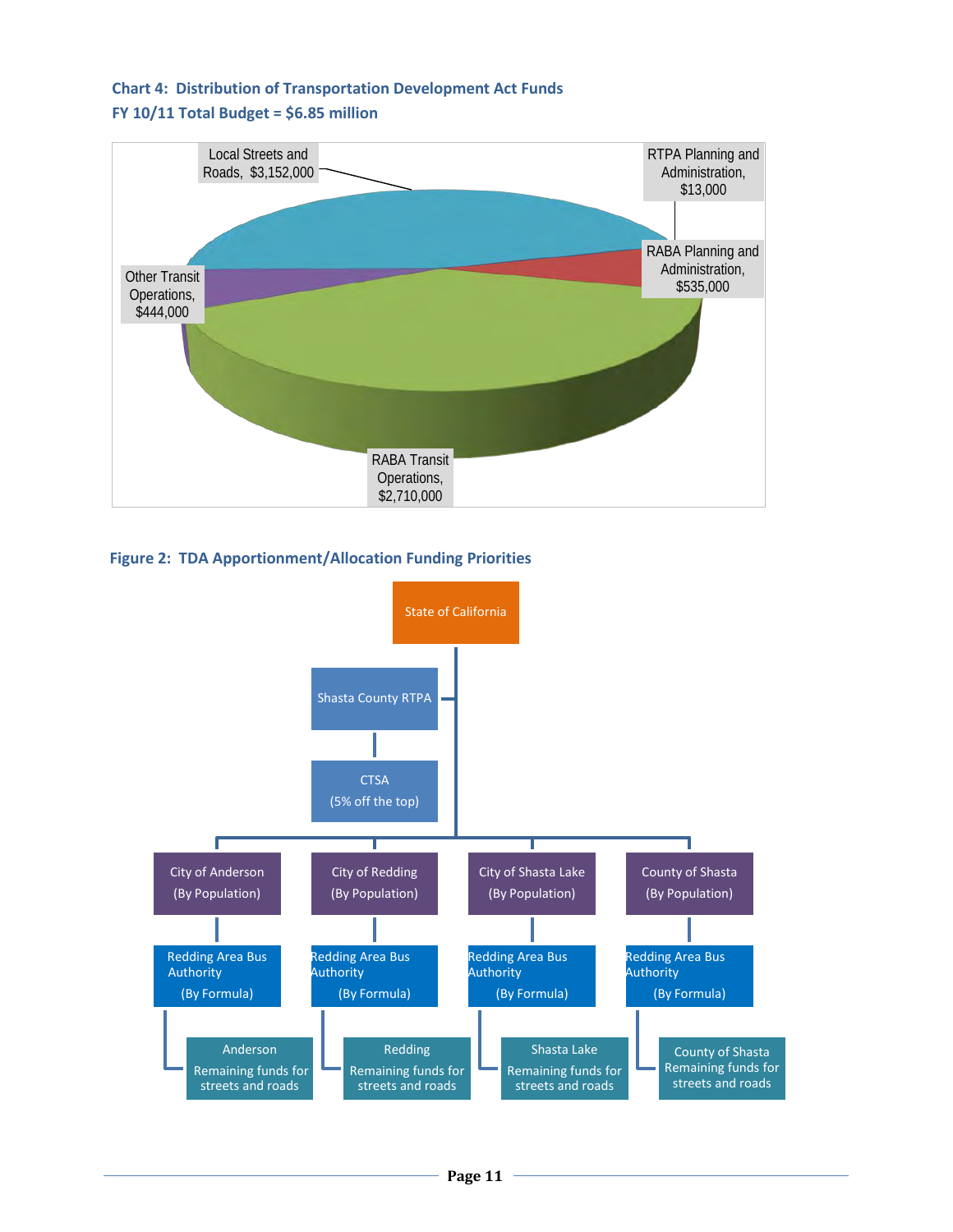# **Chart 4: Distribution of Transportation Development Act Funds FY 10/11 Total Budget = \$6.85 million**



**Figure 2: TDA Apportionment/Allocation Funding Priorities**

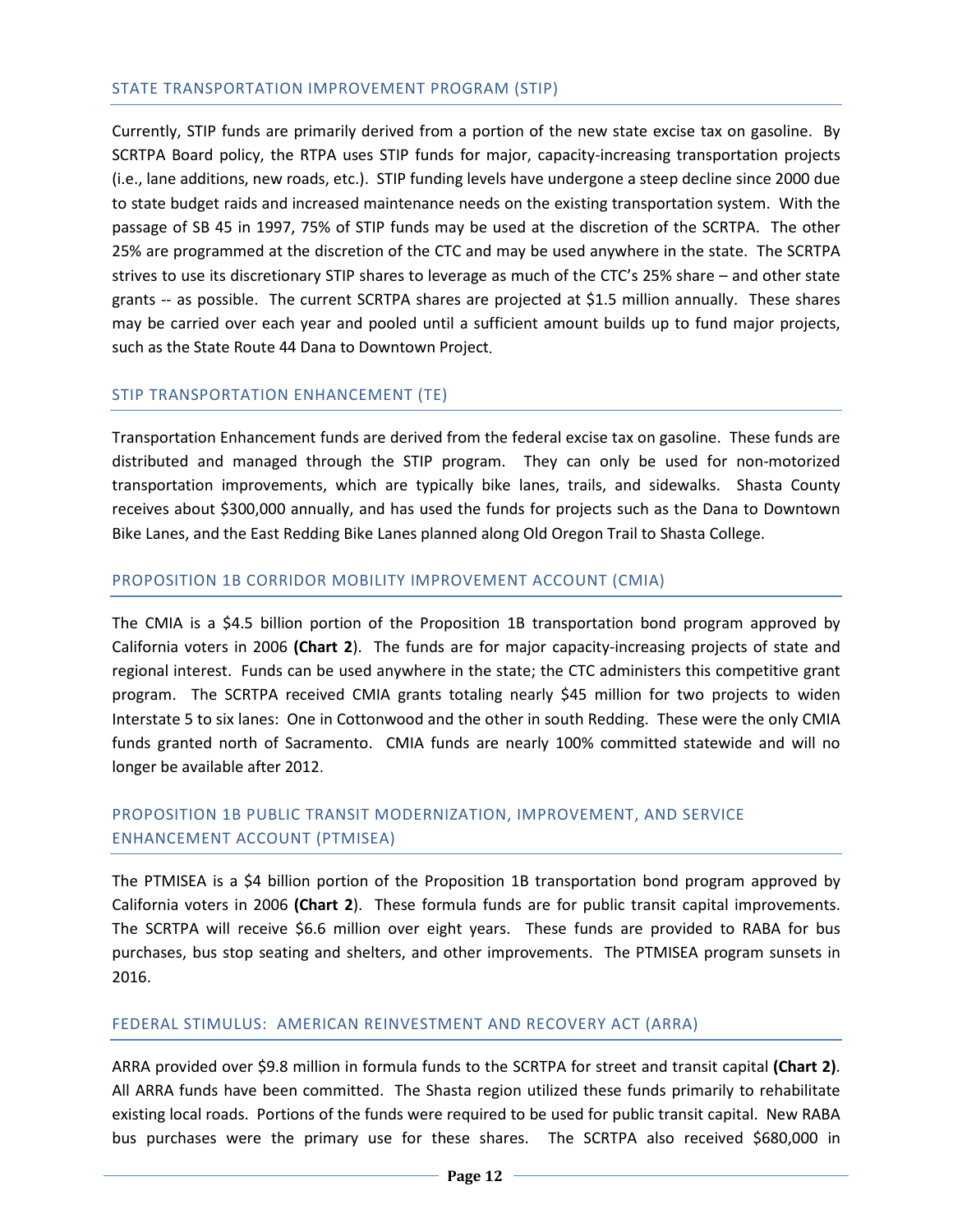#### STATE TRANSPORTATION IMPROVEMENT PROGRAM (STIP)

Currently, STIP funds are primarily derived from a portion of the new state excise tax on gasoline. By SCRTPA Board policy, the RTPA uses STIP funds for major, capacity-increasing transportation projects (i.e., lane additions, new roads, etc.). STIP funding levels have undergone a steep decline since 2000 due to state budget raids and increased maintenance needs on the existing transportation system. With the passage of SB 45 in 1997, 75% of STIP funds may be used at the discretion of the SCRTPA. The other 25% are programmed at the discretion of the CTC and may be used anywhere in the state. The SCRTPA strives to use its discretionary STIP shares to leverage as much of the CTC's 25% share – and other state grants -- as possible. The current SCRTPA shares are projected at \$1.5 million annually. These shares may be carried over each year and pooled until a sufficient amount builds up to fund major projects, such as the State Route 44 Dana to Downtown Project.

#### STIP TRANSPORTATION ENHANCEMENT (TE)

Transportation Enhancement funds are derived from the federal excise tax on gasoline. These funds are distributed and managed through the STIP program. They can only be used for non-motorized transportation improvements, which are typically bike lanes, trails, and sidewalks. Shasta County receives about \$300,000 annually, and has used the funds for projects such as the Dana to Downtown Bike Lanes, and the East Redding Bike Lanes planned along Old Oregon Trail to Shasta College.

#### PROPOSITION 1B CORRIDOR MOBILITY IMPROVEMENT ACCOUNT (CMIA)

The CMIA is a \$4.5 billion portion of the Proposition 1B transportation bond program approved by California voters in 2006 **(Chart 2**). The funds are for major capacity-increasing projects of state and regional interest. Funds can be used anywhere in the state; the CTC administers this competitive grant program. The SCRTPA received CMIA grants totaling nearly \$45 million for two projects to widen Interstate 5 to six lanes: One in Cottonwood and the other in south Redding. These were the only CMIA funds granted north of Sacramento. CMIA funds are nearly 100% committed statewide and will no longer be available after 2012.

# PROPOSITION 1B PUBLIC TRANSIT MODERNIZATION, IMPROVEMENT, AND SERVICE ENHANCEMENT ACCOUNT (PTMISEA)

The PTMISEA is a \$4 billion portion of the Proposition 1B transportation bond program approved by California voters in 2006 **(Chart 2**). These formula funds are for public transit capital improvements. The SCRTPA will receive \$6.6 million over eight years. These funds are provided to RABA for bus purchases, bus stop seating and shelters, and other improvements. The PTMISEA program sunsets in 2016.

#### FEDERAL STIMULUS: AMERICAN REINVESTMENT AND RECOVERY ACT (ARRA)

ARRA provided over \$9.8 million in formula funds to the SCRTPA for street and transit capital **(Chart 2)**. All ARRA funds have been committed. The Shasta region utilized these funds primarily to rehabilitate existing local roads. Portions of the funds were required to be used for public transit capital. New RABA bus purchases were the primary use for these shares. The SCRTPA also received \$680,000 in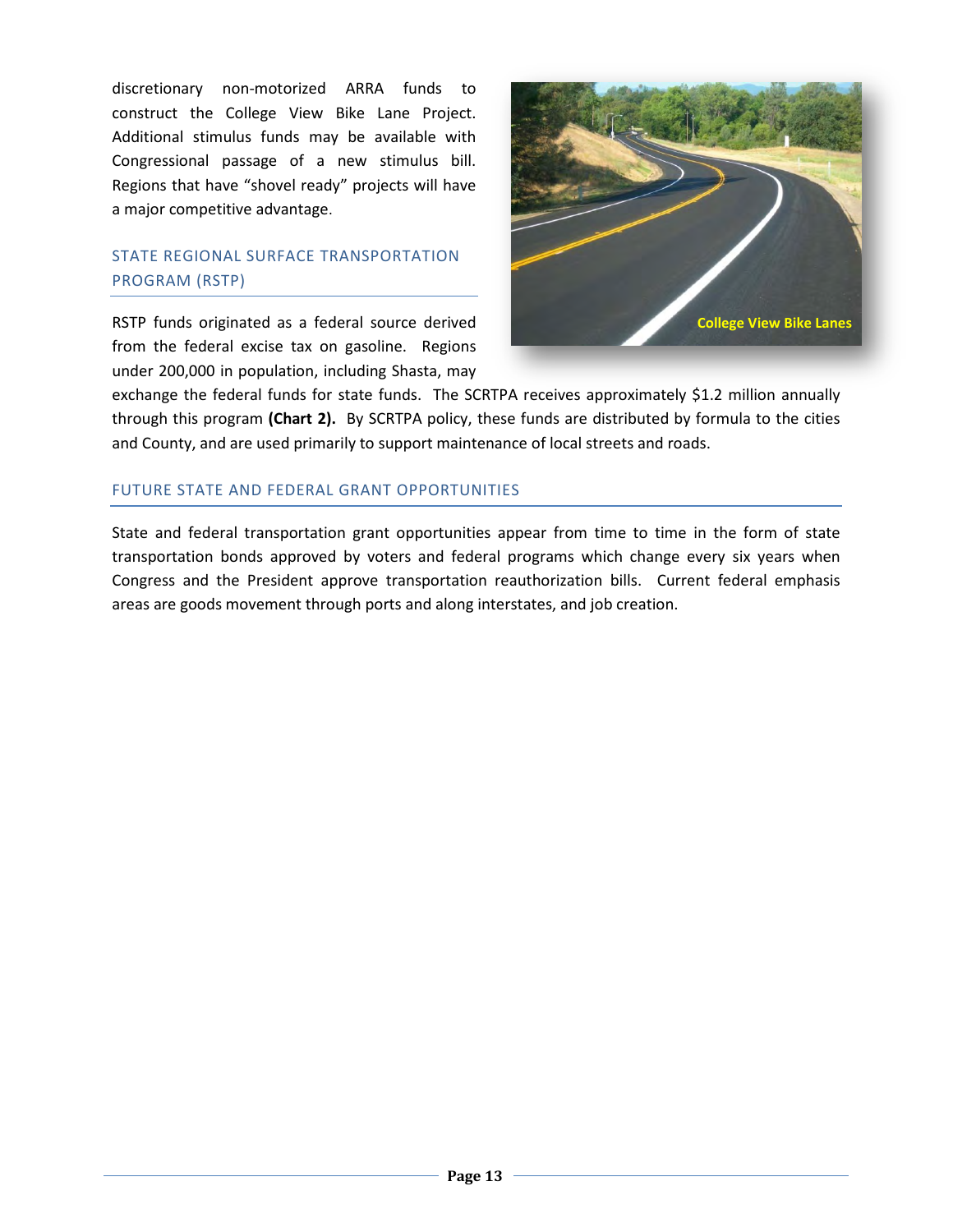discretionary non-motorized ARRA funds to construct the College View Bike Lane Project. Additional stimulus funds may be available with Congressional passage of a new stimulus bill. Regions that have "shovel ready" projects will have a major competitive advantage.

# STATE REGIONAL SURFACE TRANSPORTATION PROGRAM (RSTP)

RSTP funds originated as a federal source derived from the federal excise tax on gasoline. Regions under 200,000 in population, including Shasta, may



exchange the federal funds for state funds. The SCRTPA receives approximately \$1.2 million annually through this program **(Chart 2).** By SCRTPA policy, these funds are distributed by formula to the cities and County, and are used primarily to support maintenance of local streets and roads.

# FUTURE STATE AND FEDERAL GRANT OPPORTUNITIES

State and federal transportation grant opportunities appear from time to time in the form of state transportation bonds approved by voters and federal programs which change every six years when Congress and the President approve transportation reauthorization bills. Current federal emphasis areas are goods movement through ports and along interstates, and job creation.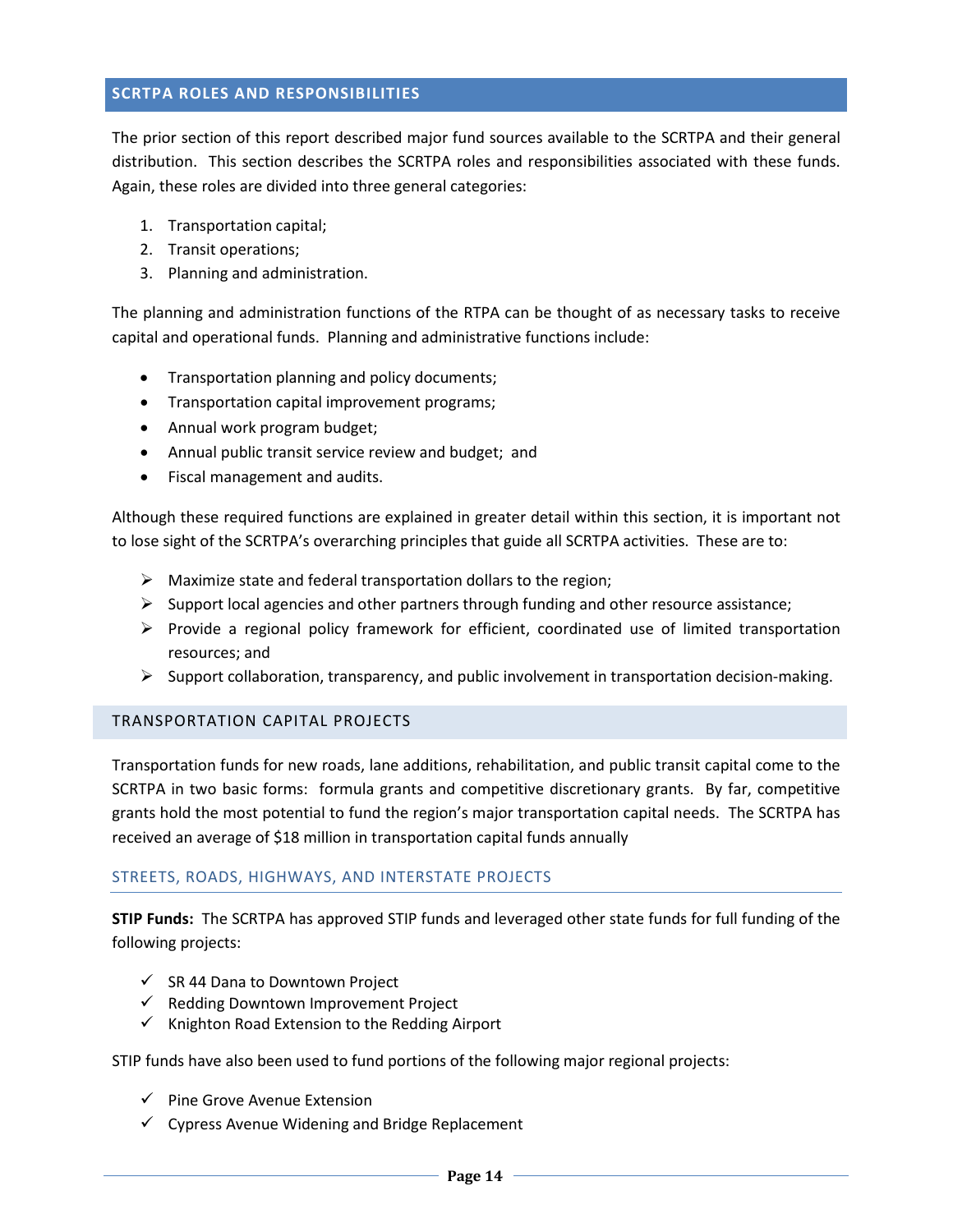# <span id="page-16-0"></span>**SCRTPA ROLES AND RESPONSIBILITIES**

The prior section of this report described major fund sources available to the SCRTPA and their general distribution. This section describes the SCRTPA roles and responsibilities associated with these funds. Again, these roles are divided into three general categories:

- 1. Transportation capital;
- 2. Transit operations;
- 3. Planning and administration.

The planning and administration functions of the RTPA can be thought of as necessary tasks to receive capital and operational funds. Planning and administrative functions include:

- Transportation planning and policy documents;
- Transportation capital improvement programs;
- Annual work program budget;
- Annual public transit service review and budget; and
- Fiscal management and audits.

Although these required functions are explained in greater detail within this section, it is important not to lose sight of the SCRTPA's overarching principles that guide all SCRTPA activities. These are to:

- $\triangleright$  Maximize state and federal transportation dollars to the region;
- $\triangleright$  Support local agencies and other partners through funding and other resource assistance;
- $\triangleright$  Provide a regional policy framework for efficient, coordinated use of limited transportation resources; and
- $\triangleright$  Support collaboration, transparency, and public involvement in transportation decision-making.

#### <span id="page-16-1"></span>TRANSPORTATION CAPITAL PROJECTS

Transportation funds for new roads, lane additions, rehabilitation, and public transit capital come to the SCRTPA in two basic forms: formula grants and competitive discretionary grants. By far, competitive grants hold the most potential to fund the region's major transportation capital needs. The SCRTPA has received an average of \$18 million in transportation capital funds annually

#### STREETS, ROADS, HIGHWAYS, AND INTERSTATE PROJECTS

**STIP Funds:** The SCRTPA has approved STIP funds and leveraged other state funds for full funding of the following projects:

- $\checkmark$  SR 44 Dana to Downtown Project
- $\checkmark$  Redding Downtown Improvement Project
- $\checkmark$  Knighton Road Extension to the Redding Airport

STIP funds have also been used to fund portions of the following major regional projects:

- $\checkmark$  Pine Grove Avenue Extension
- $\checkmark$  Cypress Avenue Widening and Bridge Replacement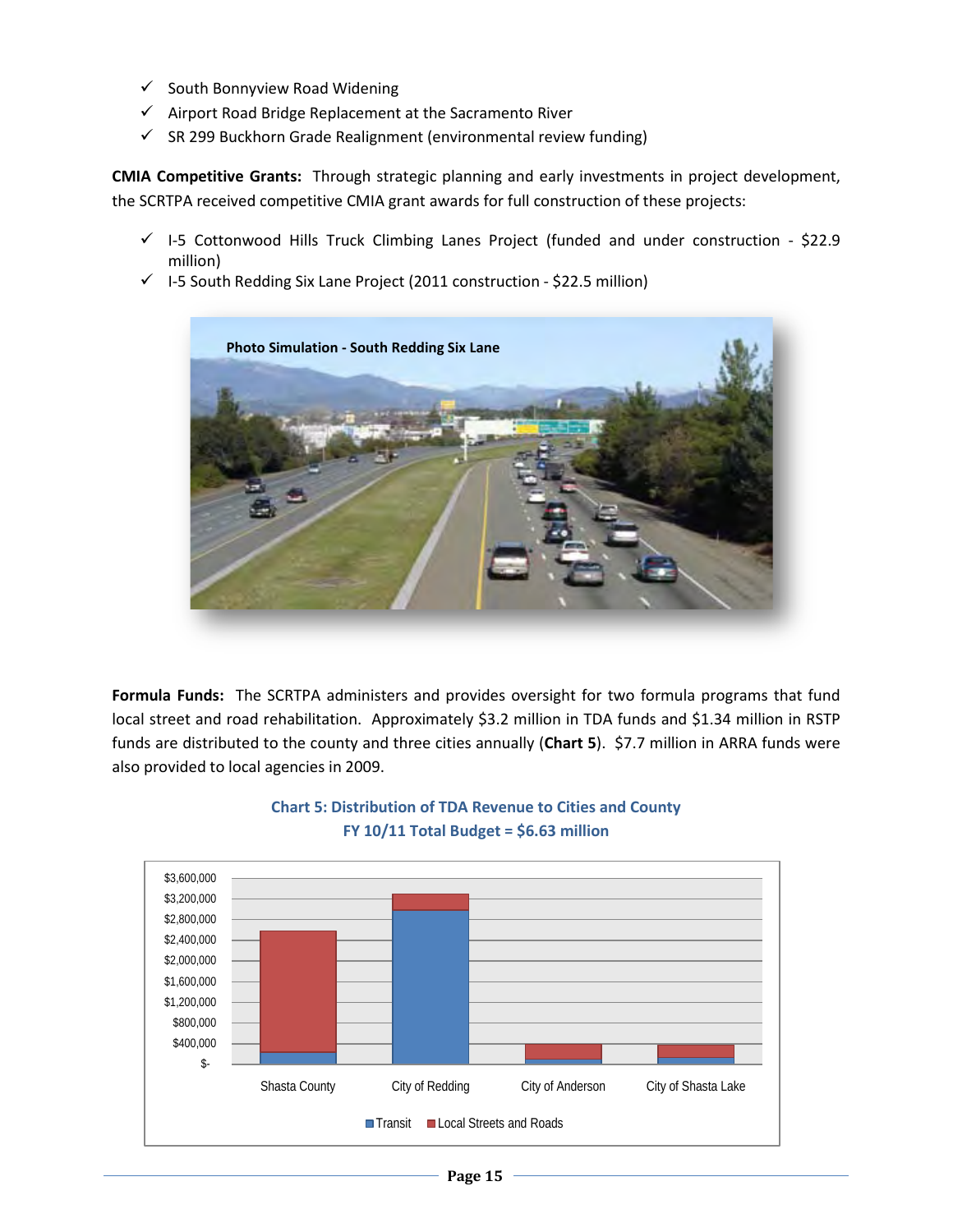- $\checkmark$  South Bonnyview Road Widening
- $\checkmark$  Airport Road Bridge Replacement at the Sacramento River
- $\checkmark$  SR 299 Buckhorn Grade Realignment (environmental review funding)

**CMIA Competitive Grants:** Through strategic planning and early investments in project development, the SCRTPA received competitive CMIA grant awards for full construction of these projects:

- $\checkmark$  I-5 Cottonwood Hills Truck Climbing Lanes Project (funded and under construction \$22.9 million)
- $\checkmark$  I-5 South Redding Six Lane Project (2011 construction \$22.5 million)



**Formula Funds:** The SCRTPA administers and provides oversight for two formula programs that fund local street and road rehabilitation. Approximately \$3.2 million in TDA funds and \$1.34 million in RSTP funds are distributed to the county and three cities annually (**Chart 5**). \$7.7 million in ARRA funds were also provided to local agencies in 2009.



# **Chart 5: Distribution of TDA Revenue to Cities and County FY 10/11 Total Budget = \$6.63 million**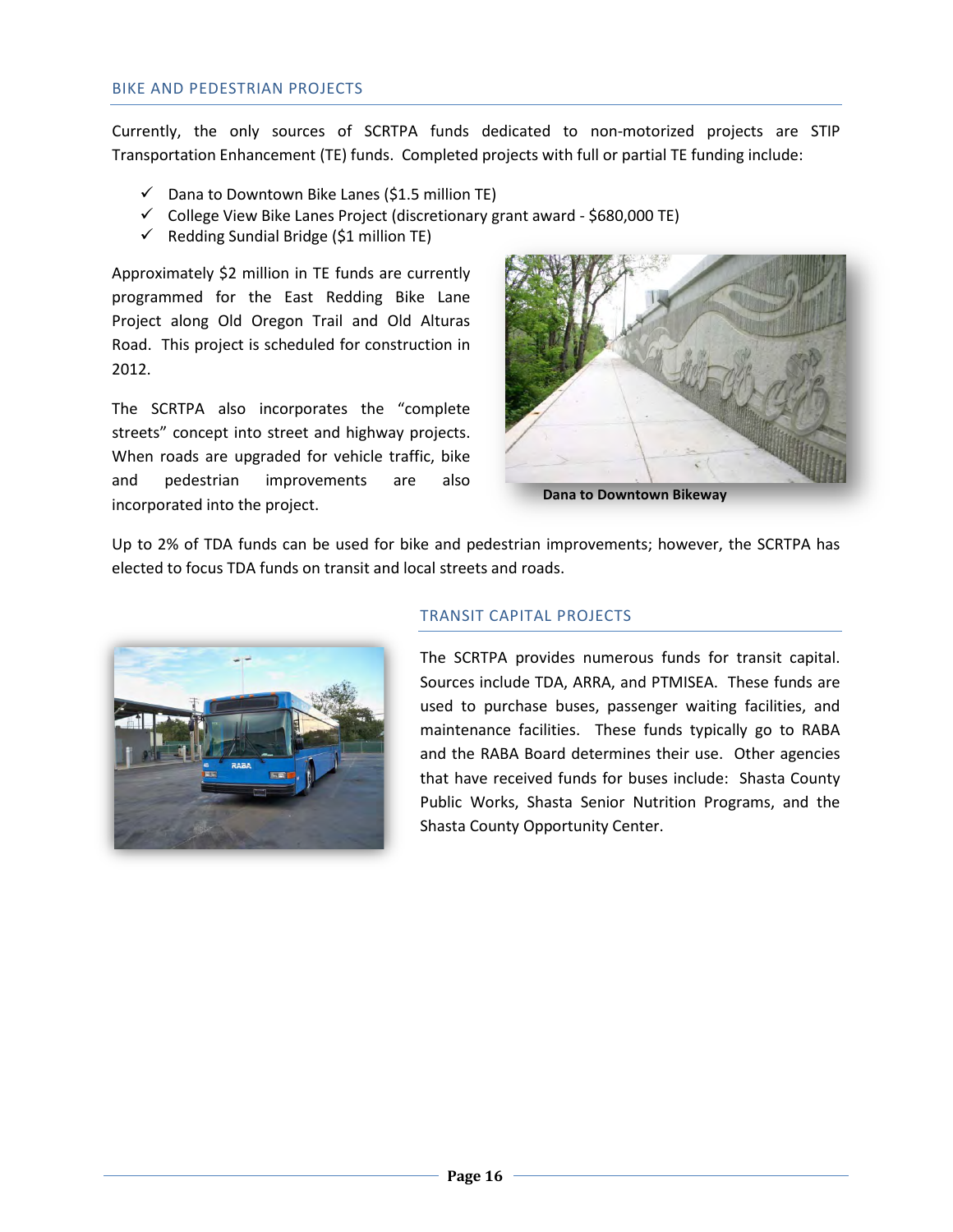Currently, the only sources of SCRTPA funds dedicated to non-motorized projects are STIP Transportation Enhancement (TE) funds. Completed projects with full or partial TE funding include:

- $\checkmark$  Dana to Downtown Bike Lanes (\$1.5 million TE)
- $\checkmark$  College View Bike Lanes Project (discretionary grant award \$680,000 TE)
- $\checkmark$  Redding Sundial Bridge (\$1 million TE)

Approximately \$2 million in TE funds are currently programmed for the East Redding Bike Lane Project along Old Oregon Trail and Old Alturas Road. This project is scheduled for construction in 2012.

The SCRTPA also incorporates the "complete streets" concept into street and highway projects. When roads are upgraded for vehicle traffic, bike and pedestrian improvements are also incorporated into the project.



 **Dana to Downtown Bikeway**

Up to 2% of TDA funds can be used for bike and pedestrian improvements; however, the SCRTPA has elected to focus TDA funds on transit and local streets and roads.



# TRANSIT CAPITAL PROJECTS

The SCRTPA provides numerous funds for transit capital. Sources include TDA, ARRA, and PTMISEA. These funds are used to purchase buses, passenger waiting facilities, and maintenance facilities. These funds typically go to RABA and the RABA Board determines their use. Other agencies that have received funds for buses include: Shasta County Public Works, Shasta Senior Nutrition Programs, and the Shasta County Opportunity Center.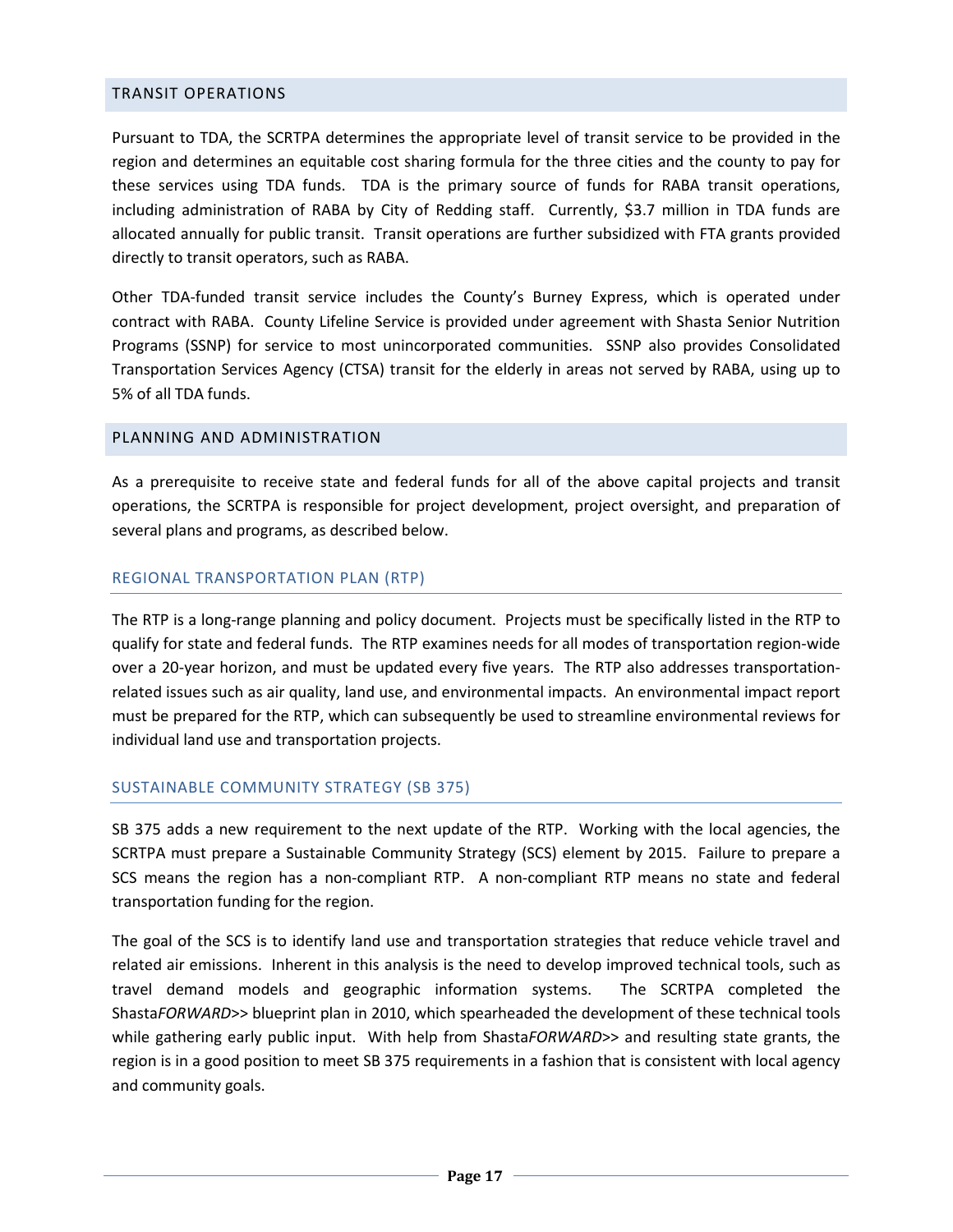#### <span id="page-19-0"></span>TRANSIT OPERATIONS

Pursuant to TDA, the SCRTPA determines the appropriate level of transit service to be provided in the region and determines an equitable cost sharing formula for the three cities and the county to pay for these services using TDA funds. TDA is the primary source of funds for RABA transit operations, including administration of RABA by City of Redding staff. Currently, \$3.7 million in TDA funds are allocated annually for public transit. Transit operations are further subsidized with FTA grants provided directly to transit operators, such as RABA.

Other TDA-funded transit service includes the County's Burney Express, which is operated under contract with RABA. County Lifeline Service is provided under agreement with Shasta Senior Nutrition Programs (SSNP) for service to most unincorporated communities. SSNP also provides Consolidated Transportation Services Agency (CTSA) transit for the elderly in areas not served by RABA, using up to 5% of all TDA funds.

# <span id="page-19-1"></span>PLANNING AND ADMINISTRATION

As a prerequisite to receive state and federal funds for all of the above capital projects and transit operations, the SCRTPA is responsible for project development, project oversight, and preparation of several plans and programs, as described below.

#### REGIONAL TRANSPORTATION PLAN (RTP)

The RTP is a long-range planning and policy document. Projects must be specifically listed in the RTP to qualify for state and federal funds. The RTP examines needs for all modes of transportation region-wide over a 20-year horizon, and must be updated every five years. The RTP also addresses transportationrelated issues such as air quality, land use, and environmental impacts. An environmental impact report must be prepared for the RTP, which can subsequently be used to streamline environmental reviews for individual land use and transportation projects.

#### SUSTAINABLE COMMUNITY STRATEGY (SB 375)

SB 375 adds a new requirement to the next update of the RTP. Working with the local agencies, the SCRTPA must prepare a Sustainable Community Strategy (SCS) element by 2015. Failure to prepare a SCS means the region has a non-compliant RTP. A non-compliant RTP means no state and federal transportation funding for the region.

The goal of the SCS is to identify land use and transportation strategies that reduce vehicle travel and related air emissions. Inherent in this analysis is the need to develop improved technical tools, such as travel demand models and geographic information systems. The SCRTPA completed the Shasta*FORWARD*>> blueprint plan in 2010, which spearheaded the development of these technical tools while gathering early public input. With help from ShastaFORWARD>> and resulting state grants, the region is in a good position to meet SB 375 requirements in a fashion that is consistent with local agency and community goals.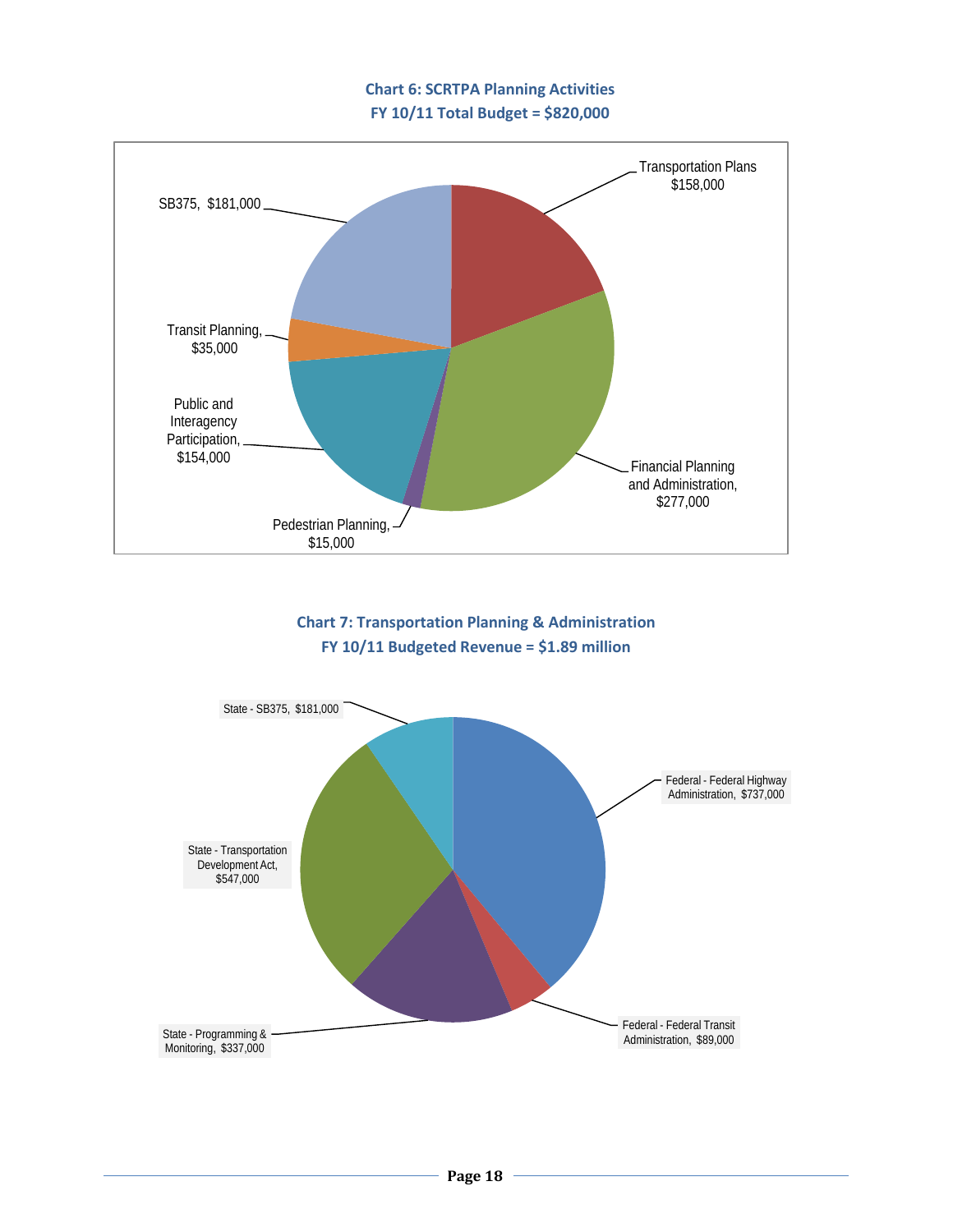# **Chart 6: SCRTPA Planning Activities FY 10/11 Total Budget = \$820,000**



# **Chart 7: Transportation Planning & Administration FY 10/11 Budgeted Revenue = \$1.89 million**

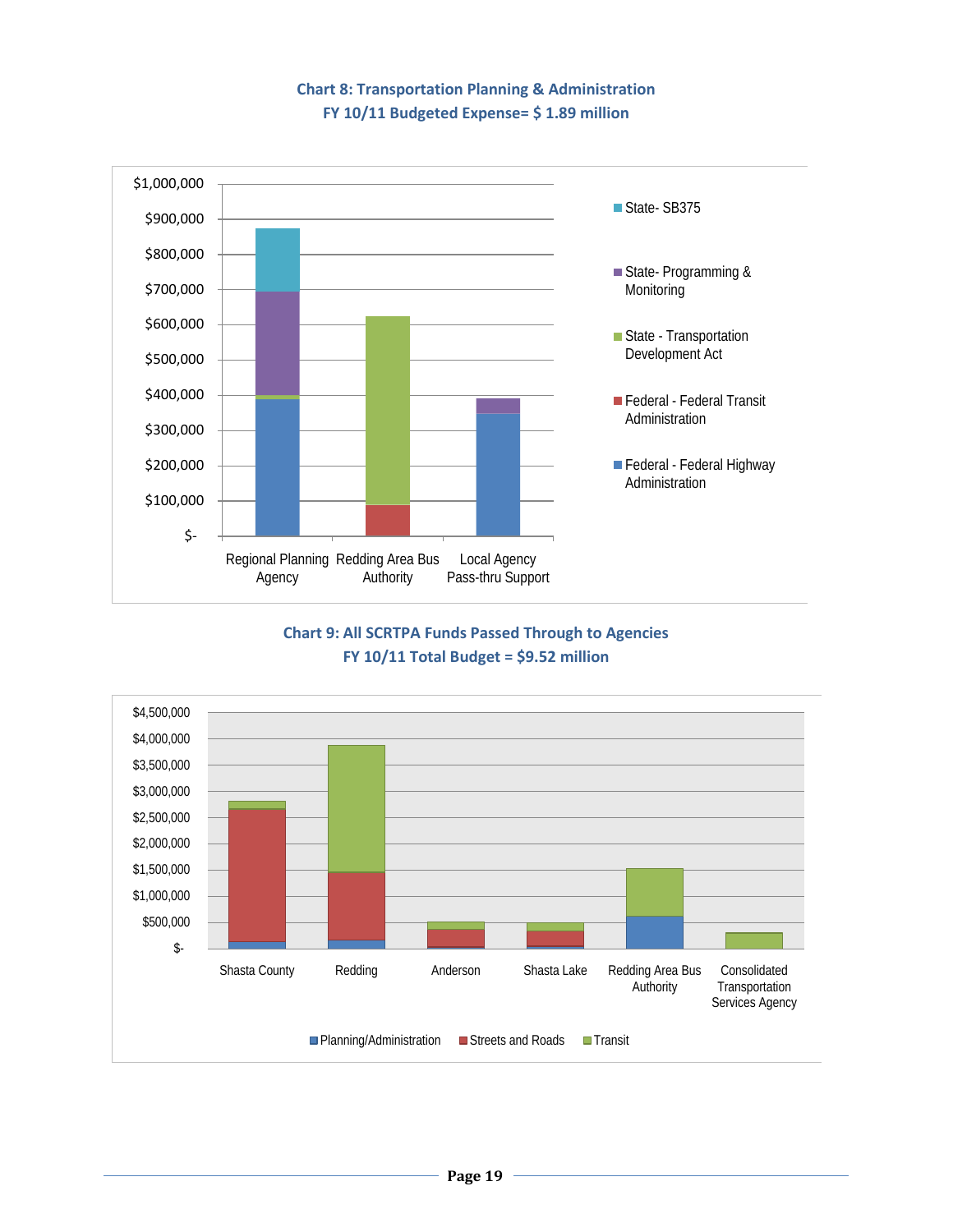# **Chart 8: Transportation Planning & Administration FY 10/11 Budgeted Expense= \$ 1.89 million**



# **Chart 9: All SCRTPA Funds Passed Through to Agencies FY 10/11 Total Budget = \$9.52 million**

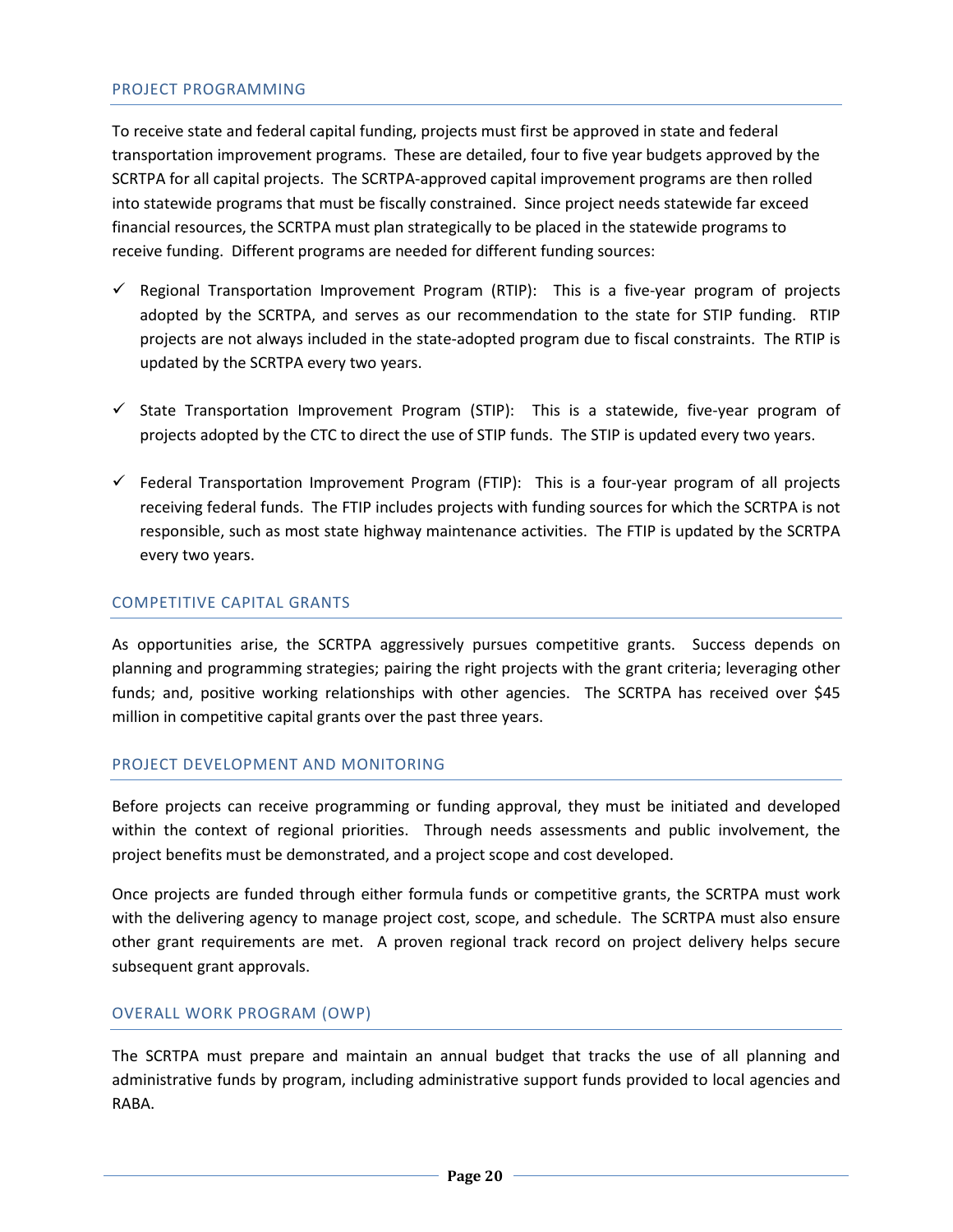#### PROJECT PROGRAMMING

To receive state and federal capital funding, projects must first be approved in state and federal transportation improvement programs. These are detailed, four to five year budgets approved by the SCRTPA for all capital projects. The SCRTPA-approved capital improvement programs are then rolled into statewide programs that must be fiscally constrained. Since project needs statewide far exceed financial resources, the SCRTPA must plan strategically to be placed in the statewide programs to receive funding. Different programs are needed for different funding sources:

- $\checkmark$  Regional Transportation Improvement Program (RTIP): This is a five-year program of projects adopted by the SCRTPA, and serves as our recommendation to the state for STIP funding. RTIP projects are not always included in the state-adopted program due to fiscal constraints. The RTIP is updated by the SCRTPA every two years.
- $\checkmark$  State Transportation Improvement Program (STIP): This is a statewide, five-year program of projects adopted by the CTC to direct the use of STIP funds. The STIP is updated every two years.
- $\checkmark$  Federal Transportation Improvement Program (FTIP): This is a four-year program of all projects receiving federal funds. The FTIP includes projects with funding sources for which the SCRTPA is not responsible, such as most state highway maintenance activities. The FTIP is updated by the SCRTPA every two years.

#### COMPETITIVE CAPITAL GRANTS

As opportunities arise, the SCRTPA aggressively pursues competitive grants. Success depends on planning and programming strategies; pairing the right projects with the grant criteria; leveraging other funds; and, positive working relationships with other agencies. The SCRTPA has received over \$45 million in competitive capital grants over the past three years.

#### PROJECT DEVELOPMENT AND MONITORING

Before projects can receive programming or funding approval, they must be initiated and developed within the context of regional priorities. Through needs assessments and public involvement, the project benefits must be demonstrated, and a project scope and cost developed.

Once projects are funded through either formula funds or competitive grants, the SCRTPA must work with the delivering agency to manage project cost, scope, and schedule. The SCRTPA must also ensure other grant requirements are met. A proven regional track record on project delivery helps secure subsequent grant approvals.

#### OVERALL WORK PROGRAM (OWP)

The SCRTPA must prepare and maintain an annual budget that tracks the use of all planning and administrative funds by program, including administrative support funds provided to local agencies and RABA.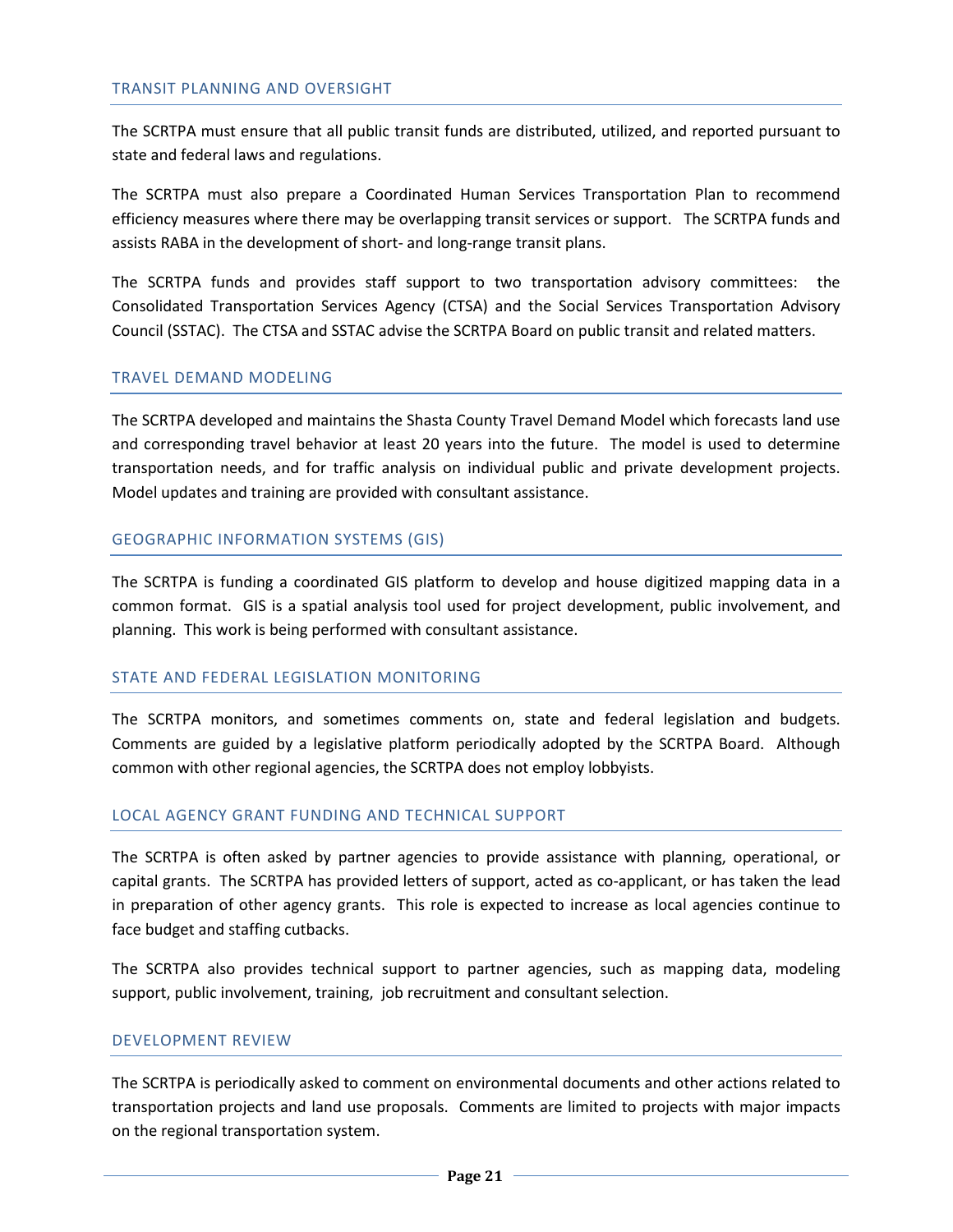#### TRANSIT PLANNING AND OVERSIGHT

The SCRTPA must ensure that all public transit funds are distributed, utilized, and reported pursuant to state and federal laws and regulations.

The SCRTPA must also prepare a Coordinated Human Services Transportation Plan to recommend efficiency measures where there may be overlapping transit services or support. The SCRTPA funds and assists RABA in the development of short- and long-range transit plans.

The SCRTPA funds and provides staff support to two transportation advisory committees: the Consolidated Transportation Services Agency (CTSA) and the Social Services Transportation Advisory Council (SSTAC). The CTSA and SSTAC advise the SCRTPA Board on public transit and related matters.

#### TRAVEL DEMAND MODELING

The SCRTPA developed and maintains the Shasta County Travel Demand Model which forecasts land use and corresponding travel behavior at least 20 years into the future. The model is used to determine transportation needs, and for traffic analysis on individual public and private development projects. Model updates and training are provided with consultant assistance.

#### GEOGRAPHIC INFORMATION SYSTEMS (GIS)

The SCRTPA is funding a coordinated GIS platform to develop and house digitized mapping data in a common format. GIS is a spatial analysis tool used for project development, public involvement, and planning. This work is being performed with consultant assistance.

#### STATE AND FEDERAL LEGISLATION MONITORING

The SCRTPA monitors, and sometimes comments on, state and federal legislation and budgets. Comments are guided by a legislative platform periodically adopted by the SCRTPA Board. Although common with other regional agencies, the SCRTPA does not employ lobbyists.

#### LOCAL AGENCY GRANT FUNDING AND TECHNICAL SUPPORT

The SCRTPA is often asked by partner agencies to provide assistance with planning, operational, or capital grants. The SCRTPA has provided letters of support, acted as co-applicant, or has taken the lead in preparation of other agency grants. This role is expected to increase as local agencies continue to face budget and staffing cutbacks.

The SCRTPA also provides technical support to partner agencies, such as mapping data, modeling support, public involvement, training, job recruitment and consultant selection.

#### DEVELOPMENT REVIEW

The SCRTPA is periodically asked to comment on environmental documents and other actions related to transportation projects and land use proposals. Comments are limited to projects with major impacts on the regional transportation system.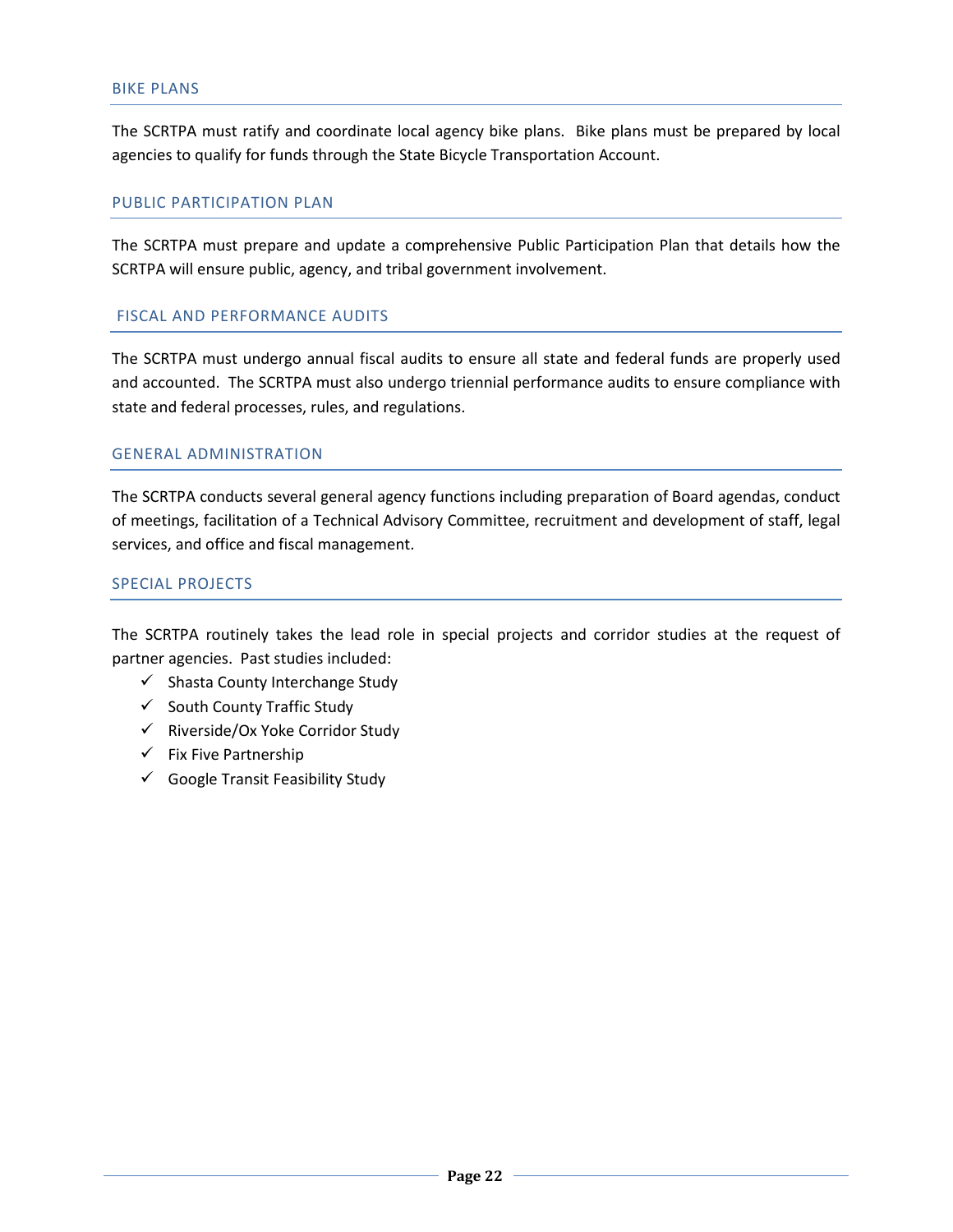The SCRTPA must ratify and coordinate local agency bike plans. Bike plans must be prepared by local agencies to qualify for funds through the State Bicycle Transportation Account.

#### PUBLIC PARTICIPATION PLAN

The SCRTPA must prepare and update a comprehensive Public Participation Plan that details how the SCRTPA will ensure public, agency, and tribal government involvement.

#### FISCAL AND PERFORMANCE AUDITS

The SCRTPA must undergo annual fiscal audits to ensure all state and federal funds are properly used and accounted. The SCRTPA must also undergo triennial performance audits to ensure compliance with state and federal processes, rules, and regulations.

#### GENERAL ADMINISTRATION

The SCRTPA conducts several general agency functions including preparation of Board agendas, conduct of meetings, facilitation of a Technical Advisory Committee, recruitment and development of staff, legal services, and office and fiscal management.

#### SPECIAL PROJECTS

The SCRTPA routinely takes the lead role in special projects and corridor studies at the request of partner agencies. Past studies included:

- $\checkmark$  Shasta County Interchange Study
- $\checkmark$  South County Traffic Study
- $\checkmark$  Riverside/Ox Yoke Corridor Study
- $\checkmark$  Fix Five Partnership
- $\checkmark$  Google Transit Feasibility Study